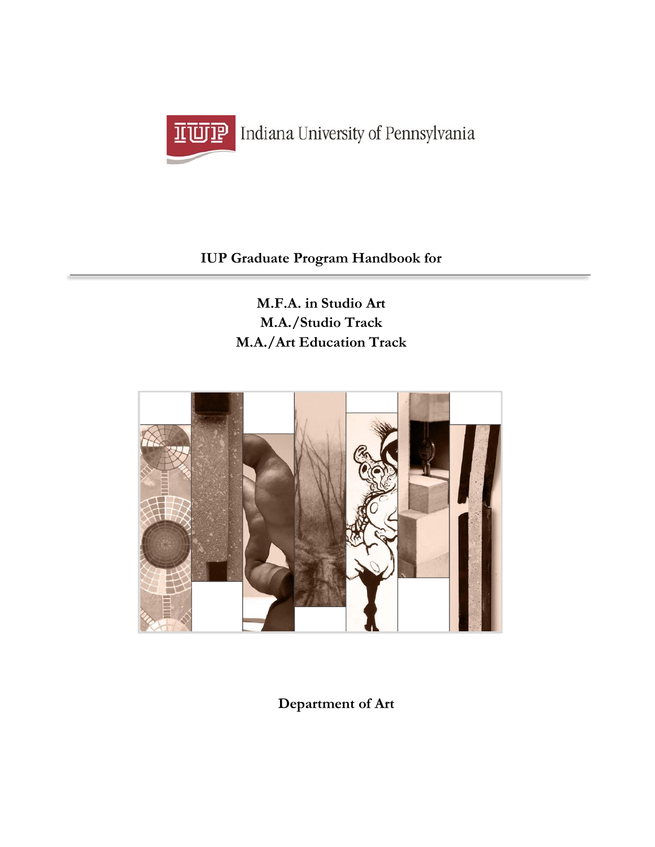

# ILUIP Indiana University of Pennsylvania

# **IUP Graduate Program Handbook for**

**M.F.A. in Studio Art M.A./Studio Track M.A./Art Education Track**



**Department of Art**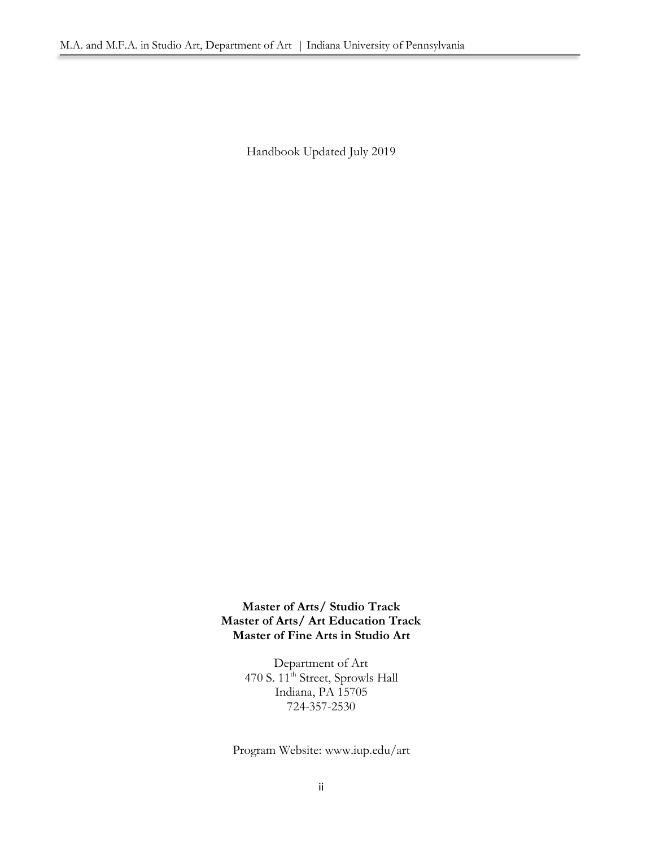Handbook Updated July 2019

**Master of Arts/ Studio Track Master of Arts/ Art Education Track Master of Fine Arts in Studio Art**

> Department of Art 470 S. 11<sup>th</sup> Street, Sprowls Hall Indiana, PA 15705 724-357-2530

Program Website: www.iup.edu/art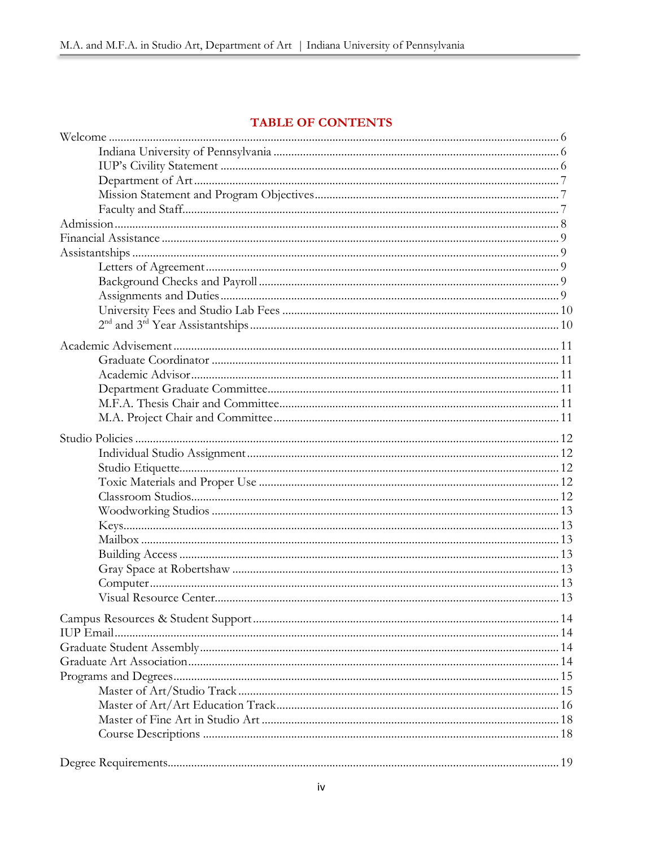# TABLE OF CONTENTS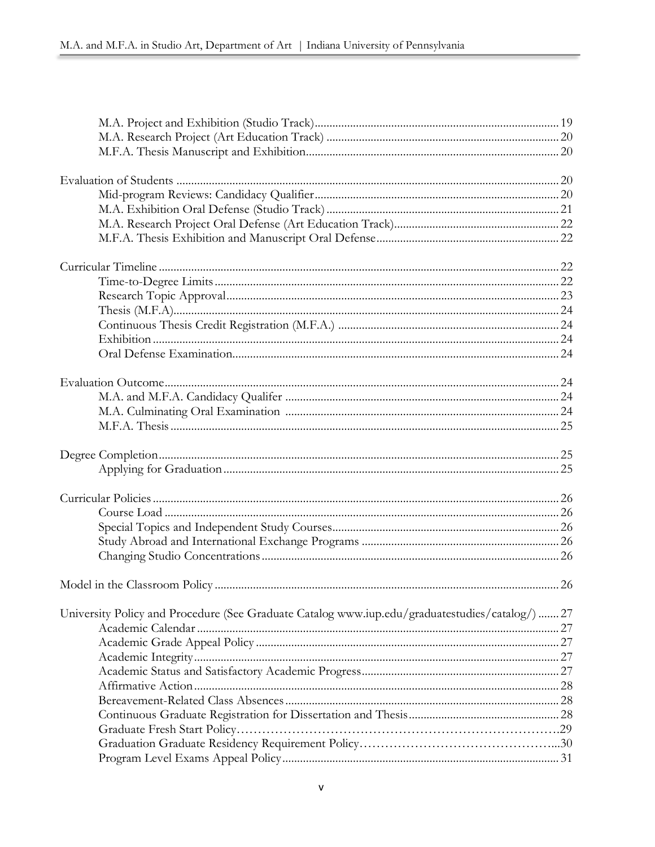| University Policy and Procedure (See Graduate Catalog www.iup.edu/graduatestudies/catalog/)  27 |  |
|-------------------------------------------------------------------------------------------------|--|
|                                                                                                 |  |
|                                                                                                 |  |
|                                                                                                 |  |
|                                                                                                 |  |
|                                                                                                 |  |
|                                                                                                 |  |
|                                                                                                 |  |
|                                                                                                 |  |
|                                                                                                 |  |
|                                                                                                 |  |
|                                                                                                 |  |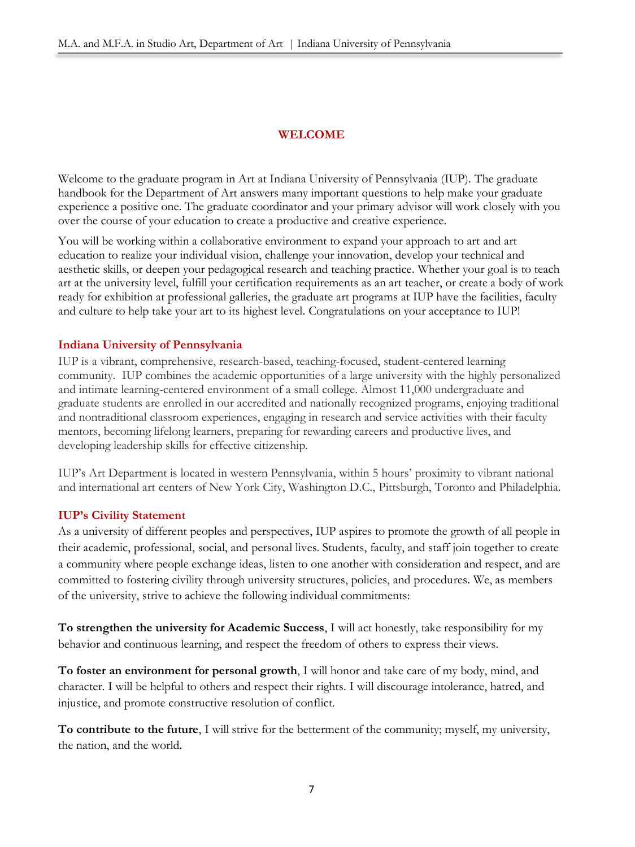# **WELCOME**

Welcome to the graduate program in Art at Indiana University of Pennsylvania (IUP). The graduate handbook for the Department of Art answers many important questions to help make your graduate experience a positive one. The graduate coordinator and your primary advisor will work closely with you over the course of your education to create a productive and creative experience.

You will be working within a collaborative environment to expand your approach to art and art education to realize your individual vision, challenge your innovation, develop your technical and aesthetic skills, or deepen your pedagogical research and teaching practice. Whether your goal is to teach art at the university level, fulfill your certification requirements as an art teacher, or create a body of work ready for exhibition at professional galleries, the graduate art programs at IUP have the facilities, faculty and culture to help take your art to its highest level. Congratulations on your acceptance to IUP!

# **Indiana University of Pennsylvania**

IUP is a vibrant, comprehensive, research-based, teaching-focused, student-centered learning community. IUP combines the academic opportunities of a large university with the highly personalized and intimate learning-centered environment of a small college. Almost 11,000 undergraduate and graduate students are enrolled in our accredited and nationally recognized programs, enjoying traditional and nontraditional classroom experiences, engaging in research and service activities with their faculty mentors, becoming lifelong learners, preparing for rewarding careers and productive lives, and developing leadership skills for effective citizenship.

IUP's Art Department is located in western Pennsylvania, within 5 hours' proximity to vibrant national and international art centers of New York City, Washington D.C., Pittsburgh, Toronto and Philadelphia.

# **IUP's Civility Statement**

As a university of different peoples and perspectives, IUP aspires to promote the growth of all people in their academic, professional, social, and personal lives. Students, faculty, and staff join together to create a community where people exchange ideas, listen to one another with consideration and respect, and are committed to fostering civility through university structures, policies, and procedures. We, as members of the university, strive to achieve the following individual commitments:

**To strengthen the university for Academic Success**, I will act honestly, take responsibility for my behavior and continuous learning, and respect the freedom of others to express their views.

**To foster an environment for personal growth**, I will honor and take care of my body, mind, and character. I will be helpful to others and respect their rights. I will discourage intolerance, hatred, and injustice, and promote constructive resolution of conflict.

**To contribute to the future**, I will strive for the betterment of the community; myself, my university, the nation, and the world.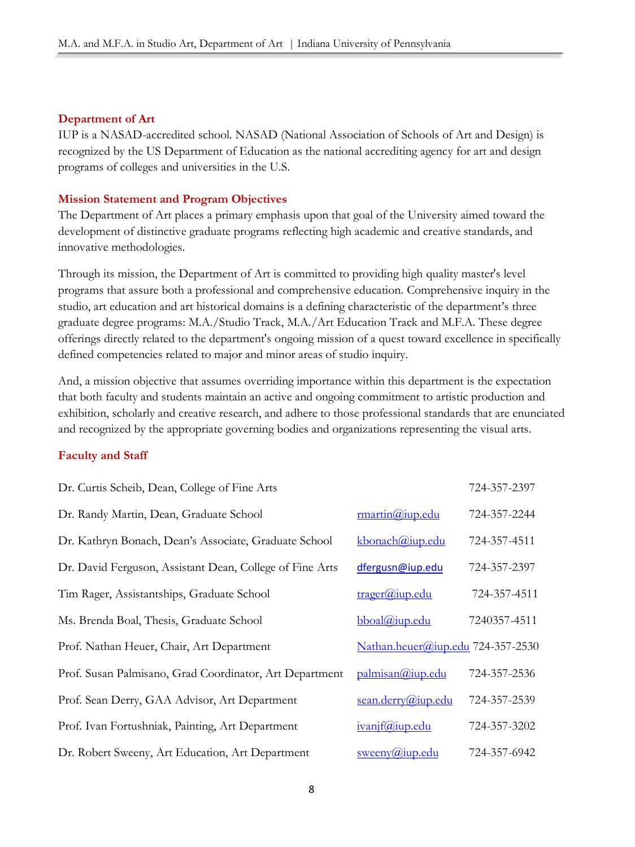# **Department of Art**

IUP is a NASAD-accredited school*.* NASAD (National Association of Schools of Art and Design) is recognized by the US Department of Education as the national accrediting agency for art and design programs of colleges and universities in the U.S.

# **Mission Statement and Program Objectives**

The Department of Art places a primary emphasis upon that goal of the University aimed toward the development of distinctive graduate programs reflecting high academic and creative standards, and innovative methodologies.

Through its mission, the Department of Art is committed to providing high quality master's level programs that assure both a professional and comprehensive education. Comprehensive inquiry in the studio, art education and art historical domains is a defining characteristic of the department's three graduate degree programs: M.A./Studio Track, M.A./Art Education Track and M.F.A. These degree offerings directly related to the department's ongoing mission of a quest toward excellence in specifically defined competencies related to major and minor areas of studio inquiry.

And, a mission objective that assumes overriding importance within this department is the expectation that both faculty and students maintain an active and ongoing commitment to artistic production and exhibition, scholarly and creative research, and adhere to those professional standards that are enunciated and recognized by the appropriate governing bodies and organizations representing the visual arts.

# **Faculty and Staff**

| Dr. Curtis Scheib, Dean, College of Fine Arts            |                                      | 724-357-2397 |
|----------------------------------------------------------|--------------------------------------|--------------|
| Dr. Randy Martin, Dean, Graduate School                  | $\text{rmartin}(\widehat{a}$ iup.edu | 724-357-2244 |
| Dr. Kathryn Bonach, Dean's Associate, Graduate School    | kbonach@iup.edu                      | 724-357-4511 |
| Dr. David Ferguson, Assistant Dean, College of Fine Arts | dfergusn@iup.edu                     | 724-357-2397 |
| Tim Rager, Assistantships, Graduate School               | $\text{trager}(\widehat{a}$ jup.edu  | 724-357-4511 |
| Ms. Brenda Boal, Thesis, Graduate School                 | $bboal@iup.edu$                      | 7240357-4511 |
| Prof. Nathan Heuer, Chair, Art Department                | Nathan.heuer@iup.edu 724-357-2530    |              |
| Prof. Susan Palmisano, Grad Coordinator, Art Department  | palmisan@iup.edu                     | 724-357-2536 |
| Prof. Sean Derry, GAA Advisor, Art Department            | sean.derry@iup.edu                   | 724-357-2539 |
| Prof. Ivan Fortushniak, Painting, Art Department         | ivanif@iup.edu                       | 724-357-3202 |
| Dr. Robert Sweeny, Art Education, Art Department         | $s$ weeny@iup.edu                    | 724-357-6942 |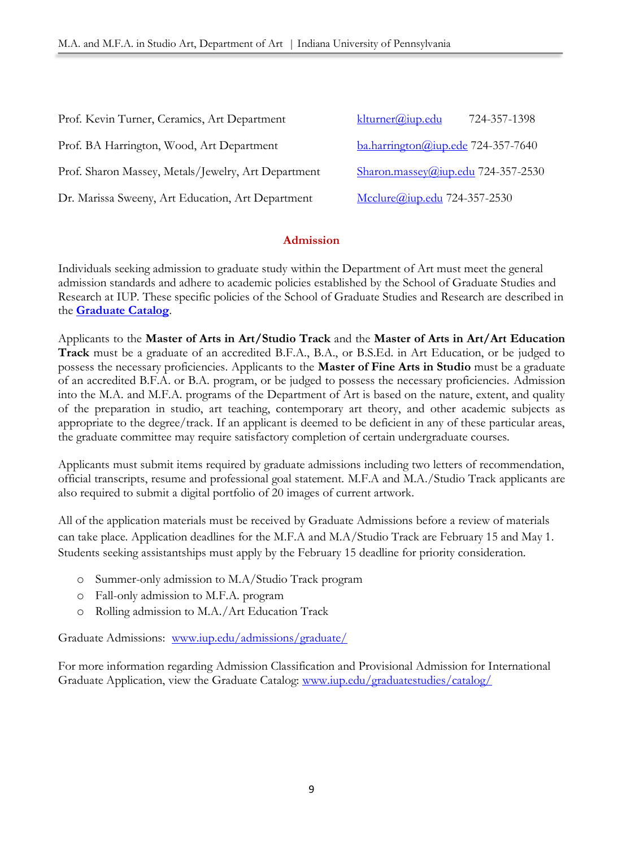| Prof. Kevin Turner, Ceramics, Art Department        | $klturner(a)$ iup.edu<br>724-357-1398              |
|-----------------------------------------------------|----------------------------------------------------|
| Prof. BA Harrington, Wood, Art Department           | $b$ a.harrington@iup.ede 724-357-7640              |
| Prof. Sharon Massey, Metals/Jewelry, Art Department | $\frac{\text{Sharon.massey@iup.edu}}{24-357-2530}$ |
| Dr. Marissa Sweeny, Art Education, Art Department   | Mcclure@iup.edu 724-357-2530                       |

# **Admission**

Individuals seeking admission to graduate study within the Department of Art must meet the general admission standards and adhere to academic policies established by the School of Graduate Studies and Research at IUP. These specific policies of the School of Graduate Studies and Research are described in the **[Graduate Catalog](http://www.iup.edu/WorkArea/linkit.aspx?LinkIdentifier=id&ItemID=195673&libID=195690)**.

Applicants to the **Master of Arts in Art/Studio Track** and the **Master of Arts in Art/Art Education Track** must be a graduate of an accredited B.F.A., B.A., or B.S.Ed. in Art Education, or be judged to possess the necessary proficiencies. Applicants to the **Master of Fine Arts in Studio** must be a graduate of an accredited B.F.A. or B.A. program, or be judged to possess the necessary proficiencies. Admission into the M.A. and M.F.A. programs of the Department of Art is based on the nature, extent, and quality of the preparation in studio, art teaching, contemporary art theory, and other academic subjects as appropriate to the degree/track. If an applicant is deemed to be deficient in any of these particular areas, the graduate committee may require satisfactory completion of certain undergraduate courses.

Applicants must submit items required by graduate admissions including two letters of recommendation, official transcripts, resume and professional goal statement. M.F.A and M.A./Studio Track applicants are also required to submit a digital portfolio of 20 images of current artwork.

All of the application materials must be received by Graduate Admissions before a review of materials can take place. Application deadlines for the M.F.A and M.A/Studio Track are February 15 and May 1. Students seeking assistantships must apply by the February 15 deadline for priority consideration.

- o Summer-only admission to M.A/Studio Track program
- o Fall-only admission to M.F.A. program
- o Rolling admission to M.A./Art Education Track

Graduate Admissions: [www.iup.edu/admissions/graduate/](http://www.iup.edu/admissions/graduate/)

For more information regarding Admission Classification and Provisional Admission for International Graduate Application, view the Graduate Catalog: [www.iup.edu/graduatestudies/catalog/](http://www.iup.edu/graduatestudies/catalog/)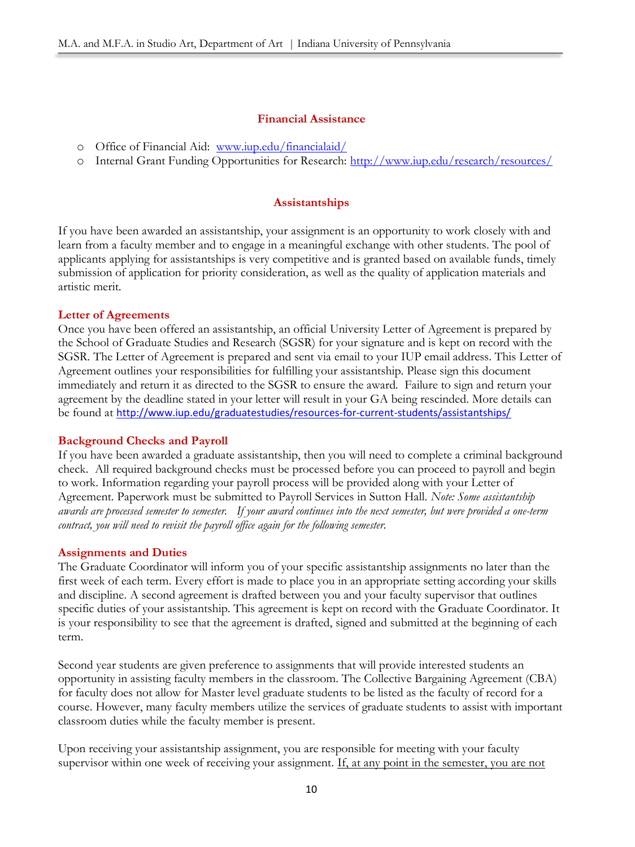### **Financial Assistance**

- o Office of Financial Aid:[www.iup.edu/financialaid/](http://www.iup.edu/financialaid/)
- o Internal Grant Funding Opportunities for Research:<http://www.iup.edu/research/resources/>

# **Assistantships**

If you have been awarded an assistantship, your assignment is an opportunity to work closely with and learn from a faculty member and to engage in a meaningful exchange with other students. The pool of applicants applying for assistantships is very competitive and is granted based on available funds, timely submission of application for priority consideration, as well as the quality of application materials and artistic merit.

# **Letter of Agreements**

Once you have been offered an assistantship, an official University Letter of Agreement is prepared by the School of Graduate Studies and Research (SGSR) for your signature and is kept on record with the SGSR. The Letter of Agreement is prepared and sent via email to your IUP email address. This Letter of Agreement outlines your responsibilities for fulfilling your assistantship. Please sign this document immediately and return it as directed to the SGSR to ensure the award. Failure to sign and return your agreement by the deadline stated in your letter will result in your GA being rescinded. More details can be found at <http://www.iup.edu/graduatestudies/resources-for-current-students/assistantships/>

#### **Background Checks and Payroll**

If you have been awarded a graduate assistantship, then you will need to complete a criminal background check. All required background checks must be processed before you can proceed to payroll and begin to work. Information regarding your payroll process will be provided along with your Letter of Agreement. Paperwork must be submitted to Payroll Services in Sutton Hall. *Note: Some assistantship awards are processed semester to semester. If your award continues into the next semester, but were provided a one-term contract, you will need to revisit the payroll office again for the following semester.*

#### **Assignments and Duties**

The Graduate Coordinator will inform you of your specific assistantship assignments no later than the first week of each term. Every effort is made to place you in an appropriate setting according your skills and discipline. A second agreement is drafted between you and your faculty supervisor that outlines specific duties of your assistantship. This agreement is kept on record with the Graduate Coordinator. It is your responsibility to see that the agreement is drafted, signed and submitted at the beginning of each term.

Second year students are given preference to assignments that will provide interested students an opportunity in assisting faculty members in the classroom. The Collective Bargaining Agreement (CBA) for faculty does not allow for Master level graduate students to be listed as the faculty of record for a course. However, many faculty members utilize the services of graduate students to assist with important classroom duties while the faculty member is present.

Upon receiving your assistantship assignment, you are responsible for meeting with your faculty supervisor within one week of receiving your assignment. If, at any point in the semester, you are not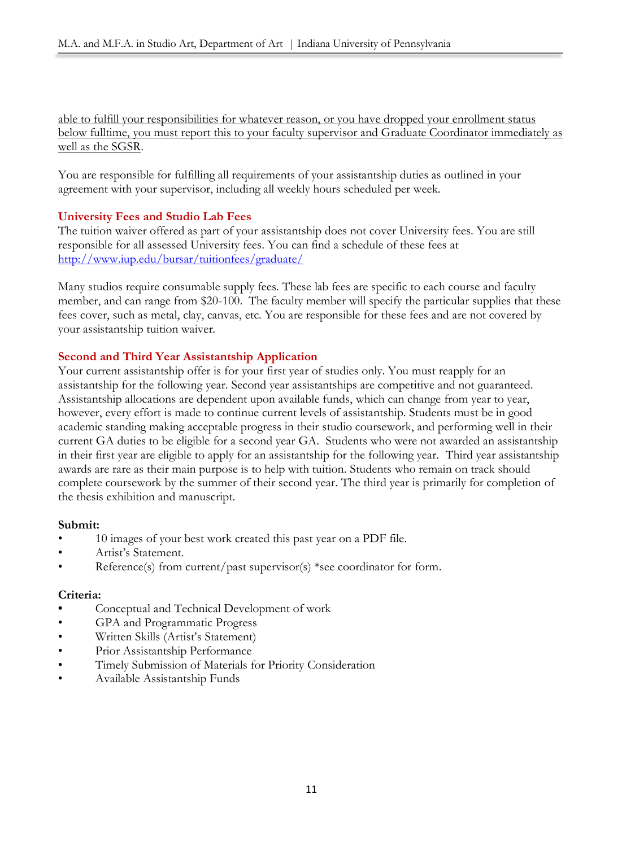able to fulfill your responsibilities for whatever reason, or you have dropped your enrollment status below fulltime, you must report this to your faculty supervisor and Graduate Coordinator immediately as well as the SGSR.

You are responsible for fulfilling all requirements of your assistantship duties as outlined in your agreement with your supervisor, including all weekly hours scheduled per week.

# **University Fees and Studio Lab Fees**

The tuition waiver offered as part of your assistantship does not cover University fees. You are still responsible for all assessed University fees. You can find a schedule of these fees at <http://www.iup.edu/bursar/tuitionfees/graduate/>

Many studios require consumable supply fees. These lab fees are specific to each course and faculty member, and can range from \$20-100. The faculty member will specify the particular supplies that these fees cover, such as metal, clay, canvas, etc. You are responsible for these fees and are not covered by your assistantship tuition waiver.

# **Second and Third Year Assistantship Application**

Your current assistantship offer is for your first year of studies only. You must reapply for an assistantship for the following year. Second year assistantships are competitive and not guaranteed. Assistantship allocations are dependent upon available funds, which can change from year to year, however, every effort is made to continue current levels of assistantship. Students must be in good academic standing making acceptable progress in their studio coursework, and performing well in their current GA duties to be eligible for a second year GA. Students who were not awarded an assistantship in their first year are eligible to apply for an assistantship for the following year. Third year assistantship awards are rare as their main purpose is to help with tuition. Students who remain on track should complete coursework by the summer of their second year. The third year is primarily for completion of the thesis exhibition and manuscript.

# **Submit:**

- 10 images of your best work created this past year on a PDF file.
- Artist's Statement.
- Reference(s) from current/past supervisor(s) \*see coordinator for form.

# **Criteria:**

- **•** Conceptual and Technical Development of work
- GPA and Programmatic Progress
- Written Skills (Artist's Statement)
- Prior Assistantship Performance
- Timely Submission of Materials for Priority Consideration
- Available Assistantship Funds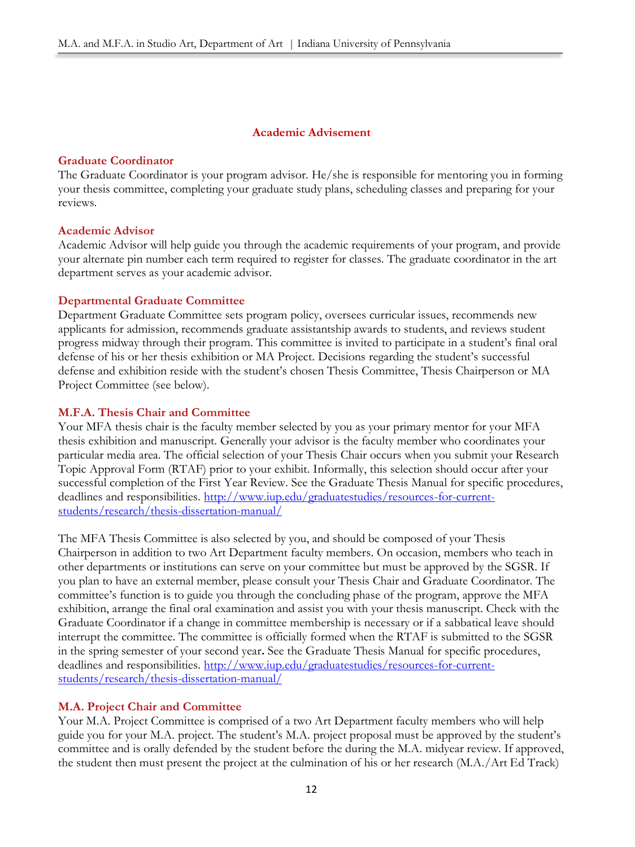# **Academic Advisement**

### **Graduate Coordinator**

The Graduate Coordinator is your program advisor. He/she is responsible for mentoring you in forming your thesis committee, completing your graduate study plans, scheduling classes and preparing for your reviews.

# **Academic Advisor**

Academic Advisor will help guide you through the academic requirements of your program, and provide your alternate pin number each term required to register for classes. The graduate coordinator in the art department serves as your academic advisor.

# **Departmental Graduate Committee**

Department Graduate Committee sets program policy, oversees curricular issues, recommends new applicants for admission, recommends graduate assistantship awards to students, and reviews student progress midway through their program. This committee is invited to participate in a student's final oral defense of his or her thesis exhibition or MA Project. Decisions regarding the student's successful defense and exhibition reside with the student's chosen Thesis Committee, Thesis Chairperson or MA Project Committee (see below).

# **M.F.A. Thesis Chair and Committee**

Your MFA thesis chair is the faculty member selected by you as your primary mentor for your MFA thesis exhibition and manuscript. Generally your advisor is the faculty member who coordinates your particular media area. The official selection of your Thesis Chair occurs when you submit your Research Topic Approval Form (RTAF) prior to your exhibit. Informally, this selection should occur after your successful completion of the First Year Review. See the Graduate Thesis Manual for specific procedures, deadlines and responsibilities. [http://www.iup.edu/graduatestudies/resources-for-current](http://www.iup.edu/graduatestudies/resources-for-current-students/research/thesis-dissertation-manual/)[students/research/thesis-dissertation-manual/](http://www.iup.edu/graduatestudies/resources-for-current-students/research/thesis-dissertation-manual/)

The MFA Thesis Committee is also selected by you, and should be composed of your Thesis Chairperson in addition to two Art Department faculty members. On occasion, members who teach in other departments or institutions can serve on your committee but must be approved by the SGSR. If you plan to have an external member, please consult your Thesis Chair and Graduate Coordinator. The committee's function is to guide you through the concluding phase of the program, approve the MFA exhibition, arrange the final oral examination and assist you with your thesis manuscript. Check with the Graduate Coordinator if a change in committee membership is necessary or if a sabbatical leave should interrupt the committee. The committee is officially formed when the RTAF is submitted to the SGSR in the spring semester of your second year**.** See the Graduate Thesis Manual for specific procedures, deadlines and responsibilities. [http://www.iup.edu/graduatestudies/resources-for-current](http://www.iup.edu/graduatestudies/resources-for-current-students/research/thesis-dissertation-manual/)[students/research/thesis-dissertation-manual/](http://www.iup.edu/graduatestudies/resources-for-current-students/research/thesis-dissertation-manual/)

# **M.A. Project Chair and Committee**

Your M.A. Project Committee is comprised of a two Art Department faculty members who will help guide you for your M.A. project. The student's M.A. project proposal must be approved by the student's committee and is orally defended by the student before the during the M.A. midyear review. If approved, the student then must present the project at the culmination of his or her research (M.A./Art Ed Track)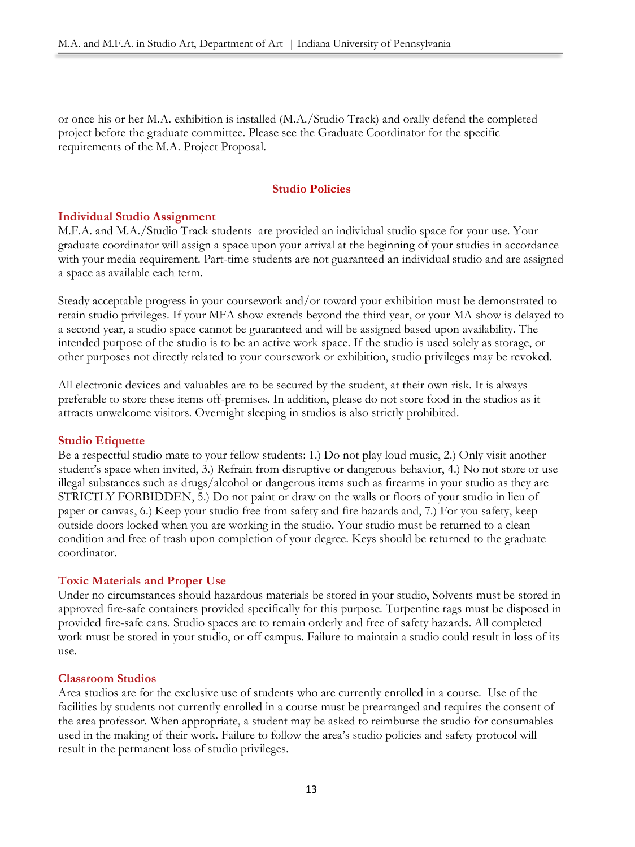or once his or her M.A. exhibition is installed (M.A./Studio Track) and orally defend the completed project before the graduate committee. Please see the Graduate Coordinator for the specific requirements of the M.A. Project Proposal.

# **Studio Policies**

# **Individual Studio Assignment**

M.F.A. and M.A./Studio Track students are provided an individual studio space for your use. Your graduate coordinator will assign a space upon your arrival at the beginning of your studies in accordance with your media requirement. Part-time students are not guaranteed an individual studio and are assigned a space as available each term.

Steady acceptable progress in your coursework and/or toward your exhibition must be demonstrated to retain studio privileges. If your MFA show extends beyond the third year, or your MA show is delayed to a second year, a studio space cannot be guaranteed and will be assigned based upon availability. The intended purpose of the studio is to be an active work space. If the studio is used solely as storage, or other purposes not directly related to your coursework or exhibition, studio privileges may be revoked.

All electronic devices and valuables are to be secured by the student, at their own risk. It is always preferable to store these items off-premises. In addition, please do not store food in the studios as it attracts unwelcome visitors. Overnight sleeping in studios is also strictly prohibited.

# **Studio Etiquette**

Be a respectful studio mate to your fellow students: 1.) Do not play loud music, 2.) Only visit another student's space when invited, 3.) Refrain from disruptive or dangerous behavior, 4.) No not store or use illegal substances such as drugs/alcohol or dangerous items such as firearms in your studio as they are STRICTLY FORBIDDEN, 5.) Do not paint or draw on the walls or floors of your studio in lieu of paper or canvas, 6.) Keep your studio free from safety and fire hazards and, 7.) For you safety, keep outside doors locked when you are working in the studio. Your studio must be returned to a clean condition and free of trash upon completion of your degree. Keys should be returned to the graduate coordinator.

# **Toxic Materials and Proper Use**

Under no circumstances should hazardous materials be stored in your studio, Solvents must be stored in approved fire-safe containers provided specifically for this purpose. Turpentine rags must be disposed in provided fire-safe cans. Studio spaces are to remain orderly and free of safety hazards. All completed work must be stored in your studio, or off campus. Failure to maintain a studio could result in loss of its use.

# **Classroom Studios**

Area studios are for the exclusive use of students who are currently enrolled in a course. Use of the facilities by students not currently enrolled in a course must be prearranged and requires the consent of the area professor. When appropriate, a student may be asked to reimburse the studio for consumables used in the making of their work. Failure to follow the area's studio policies and safety protocol will result in the permanent loss of studio privileges.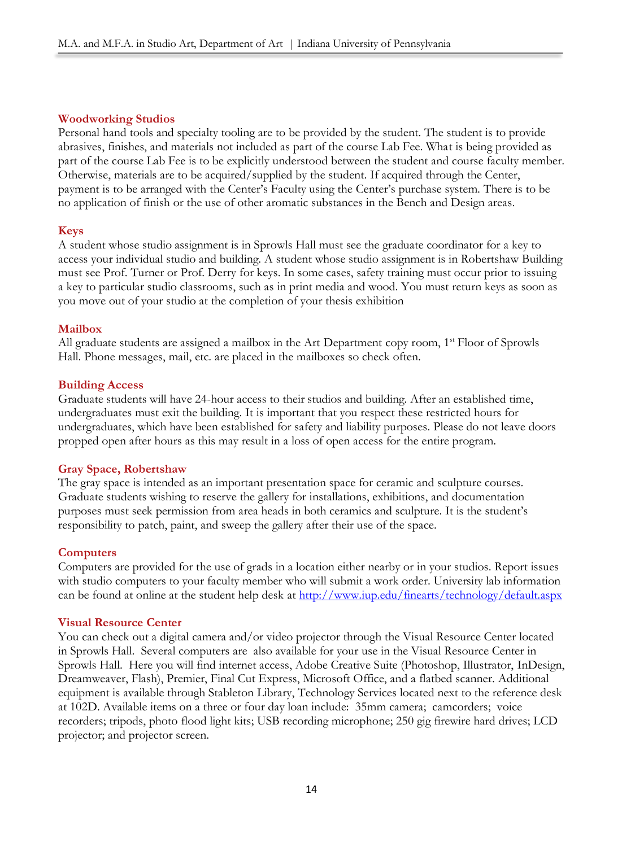# **Woodworking Studios**

Personal hand tools and specialty tooling are to be provided by the student. The student is to provide abrasives, finishes, and materials not included as part of the course Lab Fee. What is being provided as part of the course Lab Fee is to be explicitly understood between the student and course faculty member. Otherwise, materials are to be acquired/supplied by the student. If acquired through the Center, payment is to be arranged with the Center's Faculty using the Center's purchase system. There is to be no application of finish or the use of other aromatic substances in the Bench and Design areas.

# **Keys**

A student whose studio assignment is in Sprowls Hall must see the graduate coordinator for a key to access your individual studio and building. A student whose studio assignment is in Robertshaw Building must see Prof. Turner or Prof. Derry for keys. In some cases, safety training must occur prior to issuing a key to particular studio classrooms, such as in print media and wood. You must return keys as soon as you move out of your studio at the completion of your thesis exhibition

# **Mailbox**

All graduate students are assigned a mailbox in the Art Department copy room,  $1<sup>st</sup>$  Floor of Sprowls Hall. Phone messages, mail, etc. are placed in the mailboxes so check often.

# **Building Access**

Graduate students will have 24-hour access to their studios and building. After an established time, undergraduates must exit the building. It is important that you respect these restricted hours for undergraduates, which have been established for safety and liability purposes. Please do not leave doors propped open after hours as this may result in a loss of open access for the entire program.

# **Gray Space, Robertshaw**

The gray space is intended as an important presentation space for ceramic and sculpture courses. Graduate students wishing to reserve the gallery for installations, exhibitions, and documentation purposes must seek permission from area heads in both ceramics and sculpture. It is the student's responsibility to patch, paint, and sweep the gallery after their use of the space.

# **Computers**

Computers are provided for the use of grads in a location either nearby or in your studios. Report issues with studio computers to your faculty member who will submit a work order. University lab information can be found at online at the student help desk at<http://www.iup.edu/finearts/technology/default.aspx>

# **Visual Resource Center**

You can check out a digital camera and/or video projector through the Visual Resource Center located in Sprowls Hall. Several computers are also available for your use in the Visual Resource Center in Sprowls Hall. Here you will find internet access, Adobe Creative Suite (Photoshop, Illustrator, InDesign, Dreamweaver, Flash), Premier, Final Cut Express, Microsoft Office, and a flatbed scanner. Additional equipment is available through Stableton Library, Technology Services located next to the reference desk at 102D. Available items on a three or four day loan include: 35mm camera; camcorders; voice recorders; tripods, photo flood light kits; USB recording microphone; 250 gig firewire hard drives; LCD projector; and projector screen.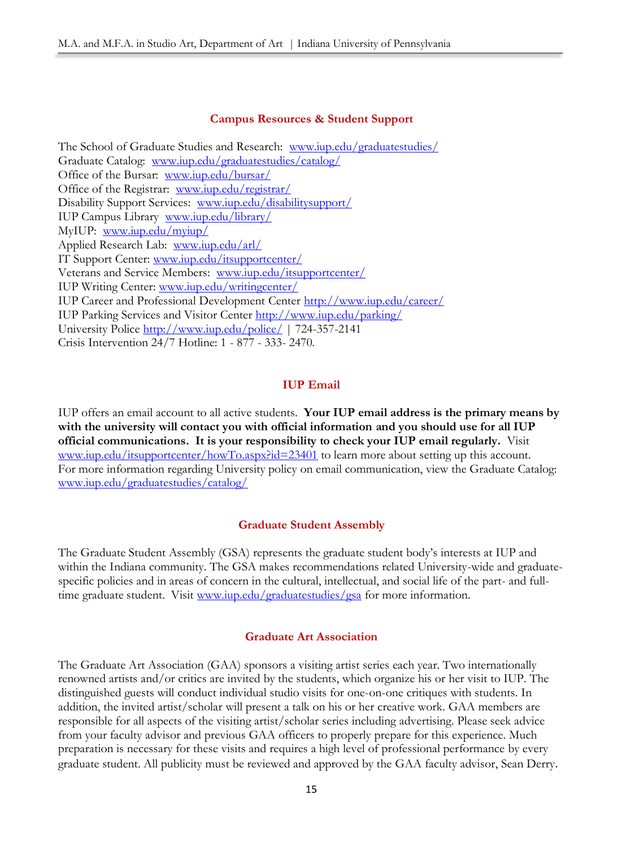#### **Campus Resources & Student Support**

The School of Graduate Studies and Research: [www.iup.edu/graduatestudies/](http://www.iup.edu/graduatestudies/) Graduate Catalog: [www.iup.edu/graduatestudies/catalog/](http://www.iup.edu/graduatestudies/catalog/) Office of the Bursar: [www.iup.edu/bursar/](http://www.iup.edu/bursar/) Office of the Registrar: [www.iup.edu/registrar/](http://www.iup.edu/registrar/) Disability Support Services: [www.iup.edu/disabilitysupport/](http://www.iup.edu/disabilitysupport/) IUP Campus Library [www.iup.edu/library/](http://www.iup.edu/library/)  MyIUP: [www.iup.edu/myiup/](http://www.iup.edu/myiup/) Applied Research Lab: [www.iup.edu/arl/](http://www.iup.edu/arl/) IT Support Center: [www.iup.edu/itsupportcenter/](http://www.iup.edu/itsupportcenter/) Veterans and Service Members: [www.iup.edu/itsupportcenter/](http://www.iup.edu/itsupportcenter/) IUP Writing Center: [www.iup.edu/writingcenter/](http://www.iup.edu/writingcenter/) IUP Career and Professional Development Center<http://www.iup.edu/career/> IUP Parking Services and Visitor Center<http://www.iup.edu/parking/> University Police<http://www.iup.edu/police/> | 724-357-2141 Crisis Intervention 24/7 Hotline: 1 - 877 - 333- 2470*.* 

# **IUP Email**

IUP offers an email account to all active students. **Your IUP email address is the primary means by with the university will contact you with official information and you should use for all IUP official communications. It is your responsibility to check your IUP email regularly.** Visit [www.iup.edu/itsupportcenter/howTo.aspx?id=23401](http://www.iup.edu/itsupportcenter/howTo.aspx?id=23401) to learn more about setting up this account. For more information regarding University policy on email communication, view the Graduate Catalog: [www.iup.edu/graduatestudies/catalog/](http://www.iup.edu/graduatestudies/catalog/)

#### **Graduate Student Assembly**

The Graduate Student Assembly (GSA) represents the graduate student body's interests at IUP and within the Indiana community. The GSA makes recommendations related University-wide and graduatespecific policies and in areas of concern in the cultural, intellectual, and social life of the part- and fulltime graduate student. Visit [www.iup.edu/graduatestudies/gsa](http://www.iup.edu/graduatestudies/gsa) for more information.

#### **Graduate Art Association**

The Graduate Art Association (GAA) sponsors a visiting artist series each year. Two internationally renowned artists and/or critics are invited by the students, which organize his or her visit to IUP. The distinguished guests will conduct individual studio visits for one-on-one critiques with students. In addition, the invited artist/scholar will present a talk on his or her creative work. GAA members are responsible for all aspects of the visiting artist/scholar series including advertising. Please seek advice from your faculty advisor and previous GAA officers to properly prepare for this experience. Much preparation is necessary for these visits and requires a high level of professional performance by every graduate student. All publicity must be reviewed and approved by the GAA faculty advisor, Sean Derry.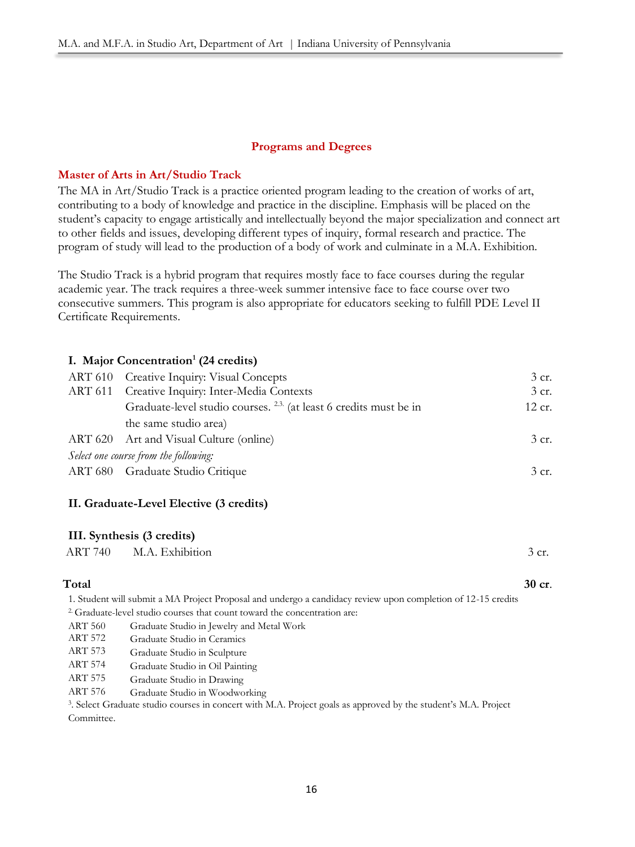### **Programs and Degrees**

### **Master of Arts in Art/Studio Track**

The MA in Art/Studio Track is a practice oriented program leading to the creation of works of art, contributing to a body of knowledge and practice in the discipline. Emphasis will be placed on the student's capacity to engage artistically and intellectually beyond the major specialization and connect art to other fields and issues, developing different types of inquiry, formal research and practice. The program of study will lead to the production of a body of work and culminate in a M.A. Exhibition.

The Studio Track is a hybrid program that requires mostly face to face courses during the regular academic year. The track requires a three-week summer intensive face to face course over two consecutive summers. This program is also appropriate for educators seeking to fulfill PDE Level II Certificate Requirements.

# **I. Major Concentration<sup>1</sup> (24 credits)**

| ART 610 Creative Inquiry: Visual Concepts                                    | 3 cr.  |
|------------------------------------------------------------------------------|--------|
| ART 611 Creative Inquiry: Inter-Media Contexts                               | 3 cr.  |
| Graduate-level studio courses. <sup>2,3</sup> (at least 6 credits must be in | 12 cr. |
| the same studio area)                                                        |        |
| ART 620 Art and Visual Culture (online)                                      | 3 cr.  |
| Select one course from the following:                                        |        |
| ART 680 Graduate Studio Critique                                             | 3 cr.  |

#### **II. Graduate-Level Elective (3 credits)**

#### **III. Synthesis (3 credits)**

| ART 740 | M.A. Exhibition | 3 cr. |
|---------|-----------------|-------|
|         |                 |       |

#### **Total 30 cr**.

1. Student will submit a MA Project Proposal and undergo a candidacy review upon completion of 12-15 credits 2. Graduate-level studio courses that count toward the concentration are:

- ART 560 Graduate Studio in Jewelry and Metal Work
- Graduate Studio in Ceramics ART 572
- Graduate Studio in Sculpture ART 573
- Graduate Studio in Oil Painting ART 574
- Graduate Studio in Drawing ART 575
- Graduate Studio in Woodworking ART 576

3 . Select Graduate studio courses in concert with M.A. Project goals as approved by the student's M.A. Project Committee.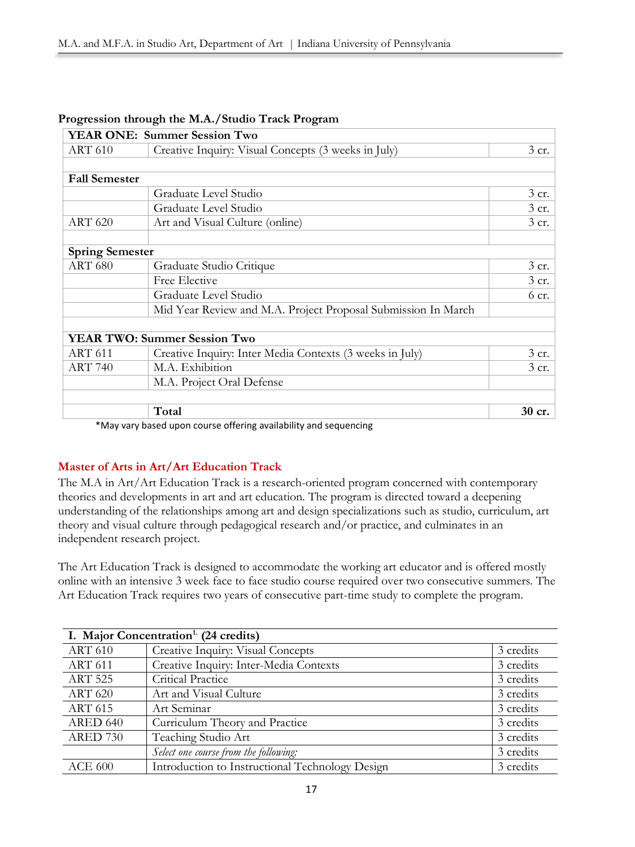|                        | <b>YEAR ONE: Summer Session Two</b>                           |         |
|------------------------|---------------------------------------------------------------|---------|
| <b>ART 610</b>         | Creative Inquiry: Visual Concepts (3 weeks in July)           | $3$ cr. |
|                        |                                                               |         |
| <b>Fall Semester</b>   |                                                               |         |
|                        | Graduate Level Studio                                         | 3 cr.   |
|                        | Graduate Level Studio                                         | 3 cr.   |
| <b>ART 620</b>         | Art and Visual Culture (online)                               | 3 cr.   |
| <b>Spring Semester</b> |                                                               |         |
| <b>ART 680</b>         | Graduate Studio Critique                                      | $3$ cr. |
|                        | Free Elective                                                 | $3$ cr. |
|                        | Graduate Level Studio                                         | $6$ cr. |
|                        | Mid Year Review and M.A. Project Proposal Submission In March |         |
|                        |                                                               |         |
|                        | <b>YEAR TWO: Summer Session Two</b>                           |         |
| <b>ART 611</b>         | Creative Inquiry: Inter Media Contexts (3 weeks in July)      | 3 cr.   |
| <b>ART 740</b>         | M.A. Exhibition                                               | 3 cr.   |
|                        | M.A. Project Oral Defense                                     |         |
|                        | Total                                                         | 30 cr.  |
|                        |                                                               |         |

# **Progression through the M.A./Studio Track Program**

\*May vary based upon course offering availability and sequencing

# **Master of Arts in Art/Art Education Track**

The M.A in Art/Art Education Track is a research-oriented program concerned with contemporary theories and developments in art and art education. The program is directed toward a deepening understanding of the relationships among art and design specializations such as studio, curriculum, art theory and visual culture through pedagogical research and/or practice, and culminates in an independent research project.

The Art Education Track is designed to accommodate the working art educator and is offered mostly online with an intensive 3 week face to face studio course required over two consecutive summers. The Art Education Track requires two years of consecutive part-time study to complete the program.

| I. Major Concentration <sup>1</sup> (24 credits) |                                                 |           |  |
|--------------------------------------------------|-------------------------------------------------|-----------|--|
| <b>ART 610</b>                                   | Creative Inquiry: Visual Concepts               | 3 credits |  |
| <b>ART 611</b>                                   | Creative Inquiry: Inter-Media Contexts          | 3 credits |  |
| <b>ART 525</b>                                   | Critical Practice                               | 3 credits |  |
| <b>ART 620</b>                                   | Art and Visual Culture                          | 3 credits |  |
| <b>ART 615</b>                                   | Art Seminar                                     | 3 credits |  |
| <b>ARED 640</b>                                  | Curriculum Theory and Practice                  | 3 credits |  |
| <b>ARED 730</b>                                  | Teaching Studio Art                             | 3 credits |  |
|                                                  | Select one course from the following:           | 3 credits |  |
| <b>ACE 600</b>                                   | Introduction to Instructional Technology Design | 3 credits |  |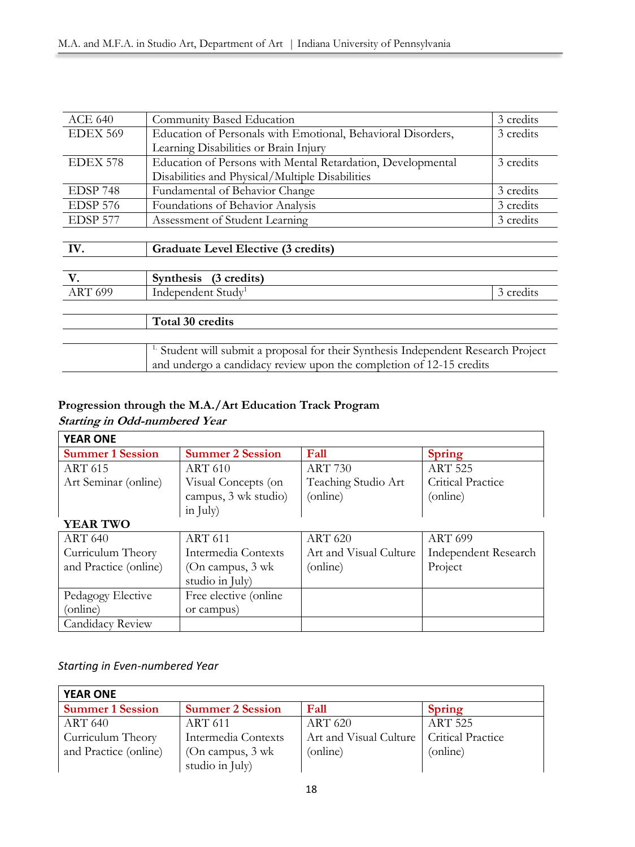| <b>ACE 640</b>  | Community Based Education                                                       | 3 credits |
|-----------------|---------------------------------------------------------------------------------|-----------|
| <b>EDEX 569</b> | Education of Personals with Emotional, Behavioral Disorders,                    | 3 credits |
|                 | Learning Disabilities or Brain Injury                                           |           |
| EDEX 578        | Education of Persons with Mental Retardation, Developmental<br>3 credits        |           |
|                 | Disabilities and Physical/Multiple Disabilities                                 |           |
| EDSP 748        | Fundamental of Behavior Change                                                  | 3 credits |
| EDSP 576        | Foundations of Behavior Analysis                                                | 3 credits |
| EDSP 577        | Assessment of Student Learning                                                  | 3 credits |
|                 |                                                                                 |           |
|                 |                                                                                 |           |
| IV.             | <b>Graduate Level Elective (3 credits)</b>                                      |           |
|                 |                                                                                 |           |
| V.              | Synthesis (3 credits)                                                           |           |
| <b>ART 699</b>  | Independent Study <sup>1</sup>                                                  | 3 credits |
|                 |                                                                                 |           |
|                 | Total 30 credits                                                                |           |
|                 |                                                                                 |           |
|                 | Student will submit a proposal for their Synthesis Independent Research Project |           |
|                 | and undergo a candidacy review upon the completion of 12-15 credits             |           |

# **Progression through the M.A./Art Education Track Program**

# **Starting in Odd-numbered Year**

| <b>YEAR ONE</b>         |                         |                        |                             |
|-------------------------|-------------------------|------------------------|-----------------------------|
| <b>Summer 1 Session</b> | <b>Summer 2 Session</b> | Fall                   | <b>Spring</b>               |
| <b>ART 615</b>          | <b>ART 610</b>          | <b>ART 730</b>         | <b>ART 525</b>              |
| Art Seminar (online)    | Visual Concepts (on     | Teaching Studio Art    | Critical Practice           |
|                         | campus, 3 wk studio)    | (online)               | (online)                    |
|                         | in $\text{July}$        |                        |                             |
| <b>YEAR TWO</b>         |                         |                        |                             |
| <b>ART 640</b>          | <b>ART 611</b>          | <b>ART 620</b>         | <b>ART 699</b>              |
| Curriculum Theory       | Intermedia Contexts     | Art and Visual Culture | <b>Independent Research</b> |
| and Practice (online)   | (On campus, 3 wk)       | (online)               | Project                     |
|                         | studio in July)         |                        |                             |
| Pedagogy Elective       | Free elective (online)  |                        |                             |
| (online)                | or campus)              |                        |                             |
| Candidacy Review        |                         |                        |                             |

# *Starting in Even-numbered Year*

| <b>YEAR ONE</b>         |                         |                        |                   |
|-------------------------|-------------------------|------------------------|-------------------|
| <b>Summer 1 Session</b> | <b>Summer 2 Session</b> | Fall                   | <b>Spring</b>     |
| <b>ART 640</b>          | <b>ART 611</b>          | <b>ART 620</b>         | <b>ART 525</b>    |
| Curriculum Theory       | Intermedia Contexts     | Art and Visual Culture | Critical Practice |
| and Practice (online)   | (On campus, $3$ wk      | (online)               | (online)          |
|                         | studio in July)         |                        |                   |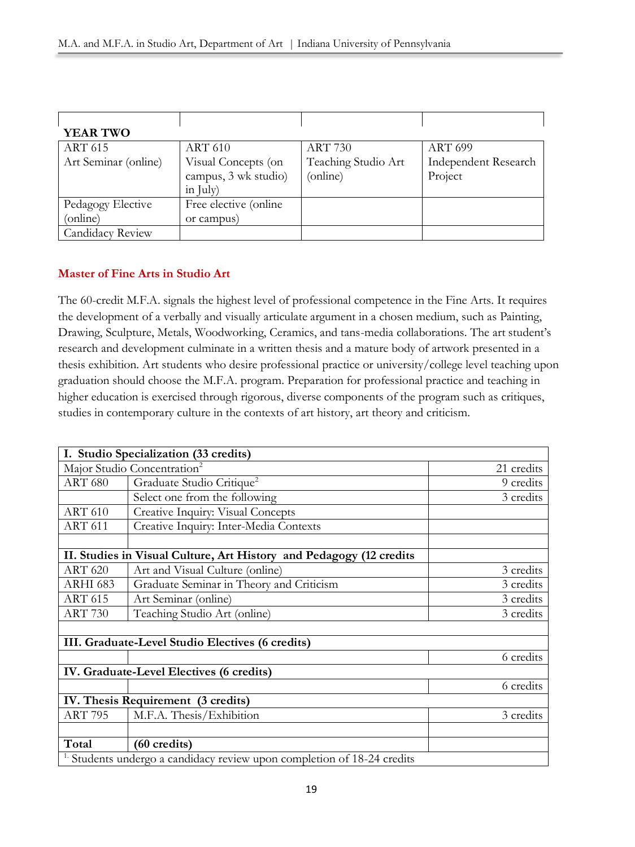| <b>YEAR TWO</b>         |                        |                     |                             |
|-------------------------|------------------------|---------------------|-----------------------------|
| <b>ART 615</b>          | <b>ART 610</b>         | <b>ART 730</b>      | <b>ART 699</b>              |
| Art Seminar (online)    | Visual Concepts (on    | Teaching Studio Art | <b>Independent Research</b> |
|                         | campus, 3 wk studio)   | (online)            | Project                     |
|                         | in July)               |                     |                             |
| Pedagogy Elective       | Free elective (online) |                     |                             |
| (online)                | or campus)             |                     |                             |
| <b>Candidacy Review</b> |                        |                     |                             |

# **Master of Fine Arts in Studio Art**

The 60-credit M.F.A. signals the highest level of professional competence in the Fine Arts. It requires the development of a verbally and visually articulate argument in a chosen medium, such as Painting, Drawing, Sculpture, Metals, Woodworking, Ceramics, and tans-media collaborations. The art student's research and development culminate in a written thesis and a mature body of artwork presented in a thesis exhibition. Art students who desire professional practice or university/college level teaching upon graduation should choose the M.F.A. program. Preparation for professional practice and teaching in higher education is exercised through rigorous, diverse components of the program such as critiques, studies in contemporary culture in the contexts of art history, art theory and criticism.

|                                          | I. Studio Specialization (33 credits)                                              |            |  |  |  |
|------------------------------------------|------------------------------------------------------------------------------------|------------|--|--|--|
| Major Studio Concentration <sup>2</sup>  |                                                                                    | 21 credits |  |  |  |
| <b>ART 680</b>                           | Graduate Studio Critique <sup>2</sup>                                              | 9 credits  |  |  |  |
|                                          | Select one from the following                                                      | 3 credits  |  |  |  |
| <b>ART 610</b>                           | Creative Inquiry: Visual Concepts                                                  |            |  |  |  |
| <b>ART 611</b>                           | Creative Inquiry: Inter-Media Contexts                                             |            |  |  |  |
|                                          |                                                                                    |            |  |  |  |
|                                          | II. Studies in Visual Culture, Art History and Pedagogy (12 credits                |            |  |  |  |
| <b>ART 620</b>                           | Art and Visual Culture (online)                                                    | 3 credits  |  |  |  |
| ARHI 683                                 | Graduate Seminar in Theory and Criticism                                           | 3 credits  |  |  |  |
| <b>ART 615</b>                           | Art Seminar (online)                                                               | 3 credits  |  |  |  |
| <b>ART 730</b>                           | Teaching Studio Art (online)                                                       | 3 credits  |  |  |  |
|                                          |                                                                                    |            |  |  |  |
|                                          | III. Graduate-Level Studio Electives (6 credits)                                   |            |  |  |  |
|                                          |                                                                                    | 6 credits  |  |  |  |
| IV. Graduate-Level Electives (6 credits) |                                                                                    |            |  |  |  |
|                                          |                                                                                    | 6 credits  |  |  |  |
| IV. Thesis Requirement (3 credits)       |                                                                                    |            |  |  |  |
| <b>ART 795</b>                           | M.F.A. Thesis/Exhibition                                                           | 3 credits  |  |  |  |
|                                          |                                                                                    |            |  |  |  |
| Total                                    | (60 credits)                                                                       |            |  |  |  |
|                                          | <sup>1.</sup> Students undergo a candidacy review upon completion of 18-24 credits |            |  |  |  |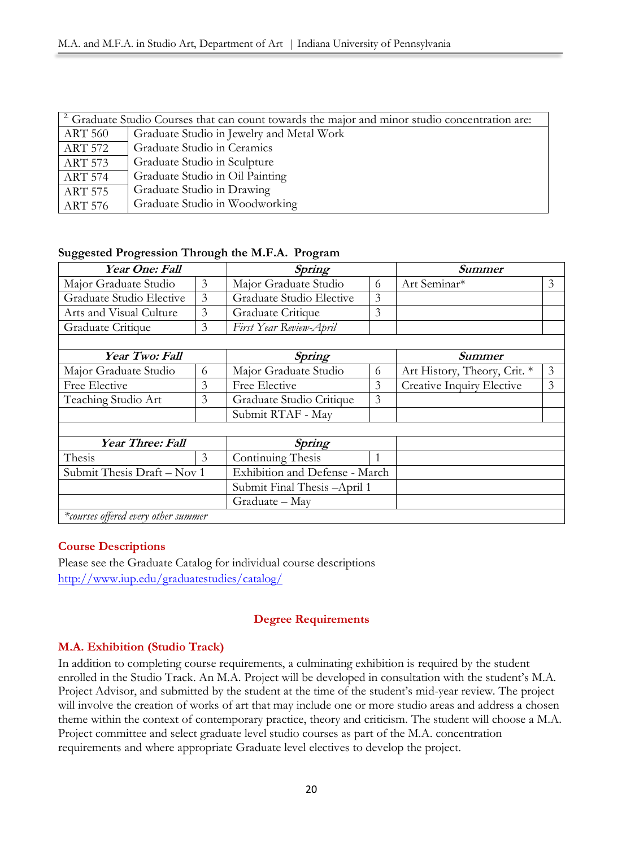| <sup>2</sup> Graduate Studio Courses that can count towards the major and minor studio concentration are: |                                           |  |  |  |
|-----------------------------------------------------------------------------------------------------------|-------------------------------------------|--|--|--|
| <b>ART 560</b>                                                                                            | Graduate Studio in Jewelry and Metal Work |  |  |  |
| <b>ART 572</b>                                                                                            | Graduate Studio in Ceramics               |  |  |  |
| <b>ART 573</b>                                                                                            | Graduate Studio in Sculpture              |  |  |  |
| <b>ART 574</b>                                                                                            | Graduate Studio in Oil Painting           |  |  |  |
| <b>ART 575</b>                                                                                            | Graduate Studio in Drawing                |  |  |  |
| <b>ART 576</b>                                                                                            | Graduate Studio in Woodworking            |  |  |  |

# **Suggested Progression Through the M.F.A. Program**

| Year One: Fall                      |                | Spring                         |   | <b>Summer</b>                |   |
|-------------------------------------|----------------|--------------------------------|---|------------------------------|---|
| Major Graduate Studio               | $\overline{3}$ | Major Graduate Studio          | 6 | Art Seminar*                 | 3 |
| Graduate Studio Elective            | 3              | Graduate Studio Elective       | 3 |                              |   |
| Arts and Visual Culture             | 3              | Graduate Critique              | 3 |                              |   |
| Graduate Critique                   | 3              | First Year Review-April        |   |                              |   |
|                                     |                |                                |   |                              |   |
| Year Two: Fall                      |                | Spring                         |   | Summer                       |   |
| Major Graduate Studio               | 6              | Major Graduate Studio          | 6 | Art History, Theory, Crit. * | 3 |
| Free Elective                       | 3              | Free Elective                  | 3 | Creative Inquiry Elective    | 3 |
| Teaching Studio Art                 | 3              | Graduate Studio Critique       | 3 |                              |   |
|                                     |                | Submit RTAF - May              |   |                              |   |
|                                     |                |                                |   |                              |   |
| Year Three: Fall                    |                | Spring                         |   |                              |   |
| Thesis                              | $\mathfrak{Z}$ | Continuing Thesis              |   |                              |   |
| Submit Thesis Draft - Nov 1         |                | Exhibition and Defense - March |   |                              |   |
|                                     |                | Submit Final Thesis -April 1   |   |                              |   |
|                                     |                | Graduate – May                 |   |                              |   |
| *courses offered every other summer |                |                                |   |                              |   |

# **Course Descriptions**

Please see the Graduate Catalog for individual course descriptions <http://www.iup.edu/graduatestudies/catalog/>

# **Degree Requirements**

# **M.A. Exhibition (Studio Track)**

In addition to completing course requirements, a culminating exhibition is required by the student enrolled in the Studio Track. An M.A. Project will be developed in consultation with the student's M.A. Project Advisor, and submitted by the student at the time of the student's mid-year review. The project will involve the creation of works of art that may include one or more studio areas and address a chosen theme within the context of contemporary practice, theory and criticism. The student will choose a M.A. Project committee and select graduate level studio courses as part of the M.A. concentration requirements and where appropriate Graduate level electives to develop the project.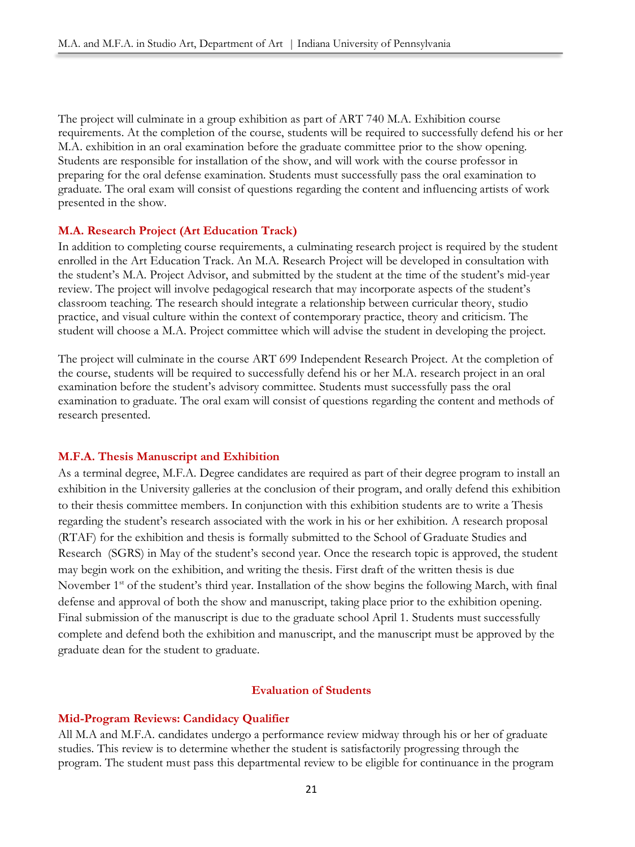The project will culminate in a group exhibition as part of ART 740 M.A. Exhibition course requirements. At the completion of the course, students will be required to successfully defend his or her M.A. exhibition in an oral examination before the graduate committee prior to the show opening. Students are responsible for installation of the show, and will work with the course professor in preparing for the oral defense examination. Students must successfully pass the oral examination to graduate. The oral exam will consist of questions regarding the content and influencing artists of work presented in the show.

#### **M.A. Research Project (Art Education Track)**

In addition to completing course requirements, a culminating research project is required by the student enrolled in the Art Education Track. An M.A. Research Project will be developed in consultation with the student's M.A. Project Advisor, and submitted by the student at the time of the student's mid-year review. The project will involve pedagogical research that may incorporate aspects of the student's classroom teaching. The research should integrate a relationship between curricular theory, studio practice, and visual culture within the context of contemporary practice, theory and criticism. The student will choose a M.A. Project committee which will advise the student in developing the project.

The project will culminate in the course ART 699 Independent Research Project. At the completion of the course, students will be required to successfully defend his or her M.A. research project in an oral examination before the student's advisory committee. Students must successfully pass the oral examination to graduate. The oral exam will consist of questions regarding the content and methods of research presented.

#### **M.F.A. Thesis Manuscript and Exhibition**

As a terminal degree, M.F.A. Degree candidates are required as part of their degree program to install an exhibition in the University galleries at the conclusion of their program, and orally defend this exhibition to their thesis committee members. In conjunction with this exhibition students are to write a Thesis regarding the student's research associated with the work in his or her exhibition. A research proposal (RTAF) for the exhibition and thesis is formally submitted to the School of Graduate Studies and Research (SGRS) in May of the student's second year. Once the research topic is approved, the student may begin work on the exhibition, and writing the thesis. First draft of the written thesis is due November 1<sup>st</sup> of the student's third year. Installation of the show begins the following March, with final defense and approval of both the show and manuscript, taking place prior to the exhibition opening. Final submission of the manuscript is due to the graduate school April 1. Students must successfully complete and defend both the exhibition and manuscript, and the manuscript must be approved by the graduate dean for the student to graduate.

#### **Evaluation of Students**

#### **Mid-Program Reviews: Candidacy Qualifier**

All M.A and M.F.A. candidates undergo a performance review midway through his or her of graduate studies. This review is to determine whether the student is satisfactorily progressing through the program. The student must pass this departmental review to be eligible for continuance in the program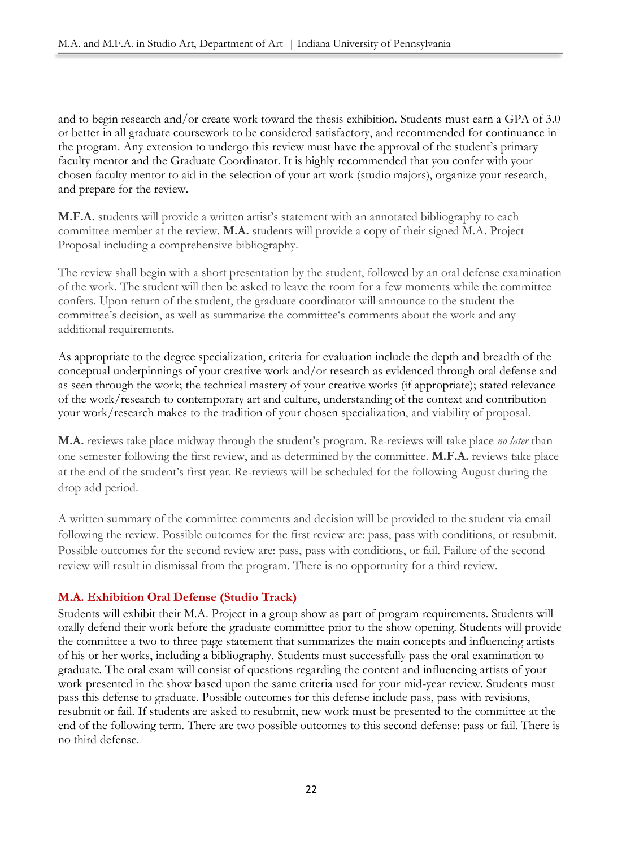and to begin research and/or create work toward the thesis exhibition. Students must earn a GPA of 3.0 or better in all graduate coursework to be considered satisfactory, and recommended for continuance in the program. Any extension to undergo this review must have the approval of the student's primary faculty mentor and the Graduate Coordinator. It is highly recommended that you confer with your chosen faculty mentor to aid in the selection of your art work (studio majors), organize your research, and prepare for the review.

**M.F.A.** students will provide a written artist's statement with an annotated bibliography to each committee member at the review. **M.A.** students will provide a copy of their signed M.A. Project Proposal including a comprehensive bibliography.

The review shall begin with a short presentation by the student, followed by an oral defense examination of the work. The student will then be asked to leave the room for a few moments while the committee confers. Upon return of the student, the graduate coordinator will announce to the student the committee's decision, as well as summarize the committee's comments about the work and any additional requirements.

As appropriate to the degree specialization, criteria for evaluation include the depth and breadth of the conceptual underpinnings of your creative work and/or research as evidenced through oral defense and as seen through the work; the technical mastery of your creative works (if appropriate); stated relevance of the work/research to contemporary art and culture, understanding of the context and contribution your work/research makes to the tradition of your chosen specialization, and viability of proposal.

**M.A.** reviews take place midway through the student's program. Re-reviews will take place *no later* than one semester following the first review, and as determined by the committee. **M.F.A.** reviews take place at the end of the student's first year. Re-reviews will be scheduled for the following August during the drop add period.

A written summary of the committee comments and decision will be provided to the student via email following the review. Possible outcomes for the first review are: pass, pass with conditions, or resubmit. Possible outcomes for the second review are: pass, pass with conditions, or fail. Failure of the second review will result in dismissal from the program. There is no opportunity for a third review.

# **M.A. Exhibition Oral Defense (Studio Track)**

Students will exhibit their M.A. Project in a group show as part of program requirements. Students will orally defend their work before the graduate committee prior to the show opening. Students will provide the committee a two to three page statement that summarizes the main concepts and influencing artists of his or her works, including a bibliography. Students must successfully pass the oral examination to graduate. The oral exam will consist of questions regarding the content and influencing artists of your work presented in the show based upon the same criteria used for your mid-year review. Students must pass this defense to graduate. Possible outcomes for this defense include pass, pass with revisions, resubmit or fail. If students are asked to resubmit, new work must be presented to the committee at the end of the following term. There are two possible outcomes to this second defense: pass or fail. There is no third defense.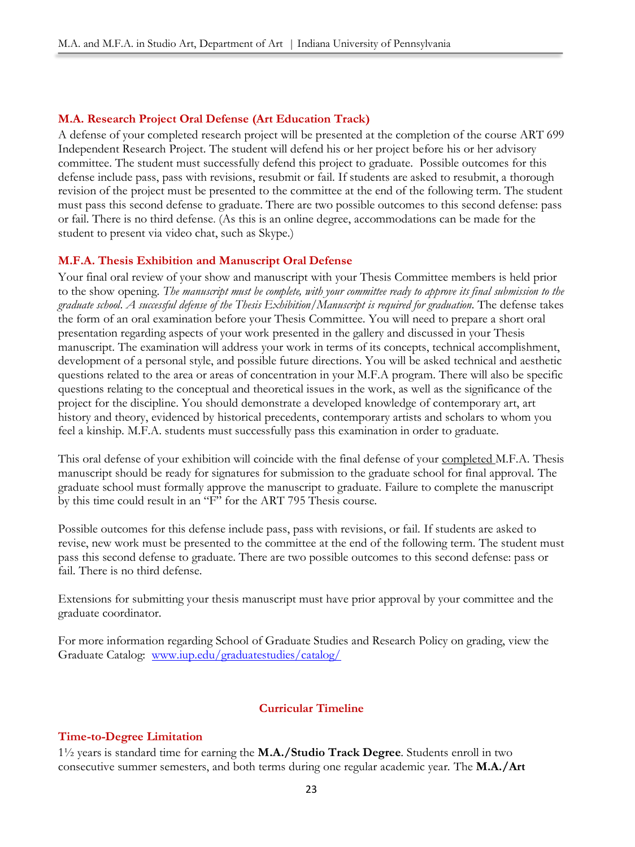# **M.A. Research Project Oral Defense (Art Education Track)**

A defense of your completed research project will be presented at the completion of the course ART 699 Independent Research Project. The student will defend his or her project before his or her advisory committee. The student must successfully defend this project to graduate. Possible outcomes for this defense include pass, pass with revisions, resubmit or fail. If students are asked to resubmit, a thorough revision of the project must be presented to the committee at the end of the following term. The student must pass this second defense to graduate. There are two possible outcomes to this second defense: pass or fail. There is no third defense. (As this is an online degree, accommodations can be made for the student to present via video chat, such as Skype.)

# **M.F.A. Thesis Exhibition and Manuscript Oral Defense**

Your final oral review of your show and manuscript with your Thesis Committee members is held prior to the show opening. *The manuscript must be complete, with your committee ready to approve its final submission to the graduate school*. *A successful defense of the Thesis Exhibition/Manuscript is required for graduation.* The defense takes the form of an oral examination before your Thesis Committee. You will need to prepare a short oral presentation regarding aspects of your work presented in the gallery and discussed in your Thesis manuscript. The examination will address your work in terms of its concepts, technical accomplishment, development of a personal style, and possible future directions. You will be asked technical and aesthetic questions related to the area or areas of concentration in your M.F.A program. There will also be specific questions relating to the conceptual and theoretical issues in the work, as well as the significance of the project for the discipline. You should demonstrate a developed knowledge of contemporary art, art history and theory, evidenced by historical precedents, contemporary artists and scholars to whom you feel a kinship. M.F.A. students must successfully pass this examination in order to graduate.

This oral defense of your exhibition will coincide with the final defense of your completed M.F.A. Thesis manuscript should be ready for signatures for submission to the graduate school for final approval. The graduate school must formally approve the manuscript to graduate. Failure to complete the manuscript by this time could result in an "F" for the ART 795 Thesis course.

Possible outcomes for this defense include pass, pass with revisions, or fail. If students are asked to revise, new work must be presented to the committee at the end of the following term. The student must pass this second defense to graduate. There are two possible outcomes to this second defense: pass or fail. There is no third defense.

Extensions for submitting your thesis manuscript must have prior approval by your committee and the graduate coordinator.

For more information regarding School of Graduate Studies and Research Policy on grading, view the Graduate Catalog: [www.iup.edu/graduatestudies/catalog/](http://www.iup.edu/graduatestudies/catalog/)

# **Curricular Timeline**

# **Time-to-Degree Limitation**

1½ years is standard time for earning the **M.A./Studio Track Degree**. Students enroll in two consecutive summer semesters, and both terms during one regular academic year. The **M.A./Art**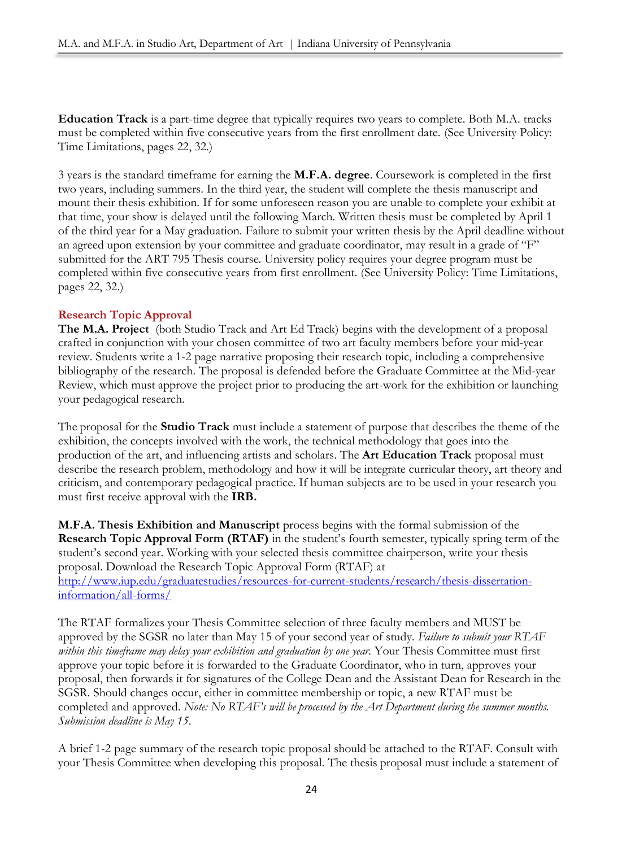**Education Track** is a part-time degree that typically requires two years to complete. Both M.A. tracks must be completed within five consecutive years from the first enrollment date. (See University Policy: Time Limitations, pages 22, 32.)

3 years is the standard timeframe for earning the **M.F.A. degree**. Coursework is completed in the first two years, including summers. In the third year, the student will complete the thesis manuscript and mount their thesis exhibition. If for some unforeseen reason you are unable to complete your exhibit at that time, your show is delayed until the following March. Written thesis must be completed by April 1 of the third year for a May graduation. Failure to submit your written thesis by the April deadline without an agreed upon extension by your committee and graduate coordinator, may result in a grade of "F" submitted for the ART 795 Thesis course. University policy requires your degree program must be completed within five consecutive years from first enrollment. (See University Policy: Time Limitations, pages 22, 32.)

# **Research Topic Approval**

**The M.A. Project** (both Studio Track and Art Ed Track) begins with the development of a proposal crafted in conjunction with your chosen committee of two art faculty members before your mid-year review. Students write a 1-2 page narrative proposing their research topic, including a comprehensive bibliography of the research. The proposal is defended before the Graduate Committee at the Mid-year Review, which must approve the project prior to producing the art-work for the exhibition or launching your pedagogical research.

The proposal for the **Studio Track** must include a statement of purpose that describes the theme of the exhibition, the concepts involved with the work, the technical methodology that goes into the production of the art, and influencing artists and scholars. The **Art Education Track** proposal must describe the research problem, methodology and how it will be integrate curricular theory, art theory and criticism, and contemporary pedagogical practice. If human subjects are to be used in your research you must first receive approval with the **IRB.**

**M.F.A. Thesis Exhibition and Manuscript** process begins with the formal submission of the **Research Topic Approval Form (RTAF)** in the student's fourth semester, typically spring term of the student's second year. Working with your selected thesis committee chairperson, write your thesis proposal. Download the Research Topic Approval Form (RTAF) at [http://www.iup.edu/graduatestudies/resources-for-current-students/research/thesis-dissertation](http://www.iup.edu/graduatestudies/resources-for-current-students/research/thesis-dissertation-information/all-forms/)[information/all-forms/](http://www.iup.edu/graduatestudies/resources-for-current-students/research/thesis-dissertation-information/all-forms/)

The RTAF formalizes your Thesis Committee selection of three faculty members and MUST be approved by the SGSR no later than May 15 of your second year of study. *Failure to submit your RTAF within this timeframe may delay your exhibition and graduation by one year.* Your Thesis Committee must first approve your topic before it is forwarded to the Graduate Coordinator, who in turn, approves your proposal, then forwards it for signatures of the College Dean and the Assistant Dean for Research in the SGSR. Should changes occur, either in committee membership or topic, a new RTAF must be completed and approved. *Note: No RTAF's will be processed by the Art Department during the summer months. Submission deadline is May 15*.

A brief 1-2 page summary of the research topic proposal should be attached to the RTAF. Consult with your Thesis Committee when developing this proposal. The thesis proposal must include a statement of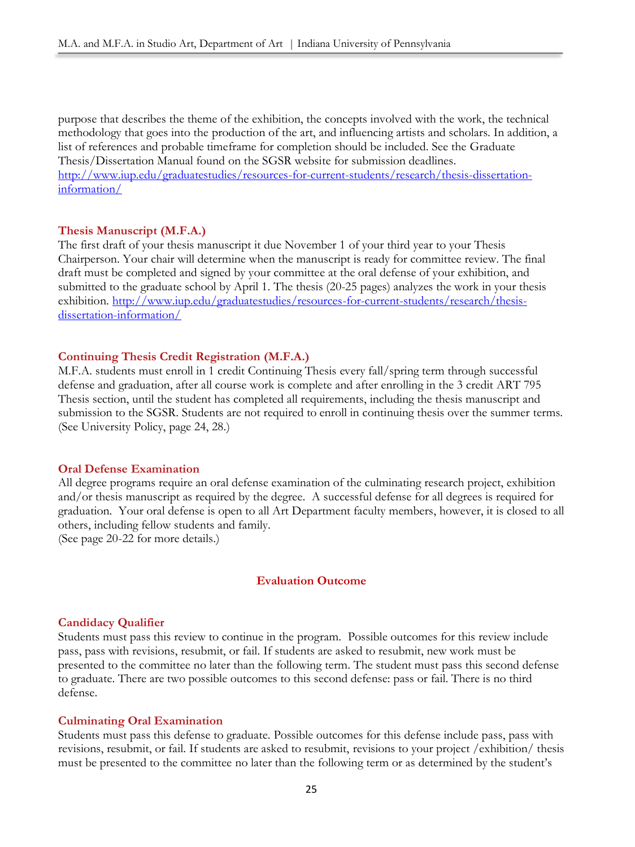purpose that describes the theme of the exhibition, the concepts involved with the work, the technical methodology that goes into the production of the art, and influencing artists and scholars. In addition, a list of references and probable timeframe for completion should be included. See the Graduate Thesis/Dissertation Manual found on the SGSR website for submission deadlines. [http://www.iup.edu/graduatestudies/resources-for-current-students/research/thesis-dissertation](http://www.iup.edu/graduatestudies/resources-for-current-students/research/thesis-dissertation-information/)[information/](http://www.iup.edu/graduatestudies/resources-for-current-students/research/thesis-dissertation-information/)

#### **Thesis Manuscript (M.F.A.)**

The first draft of your thesis manuscript it due November 1 of your third year to your Thesis Chairperson. Your chair will determine when the manuscript is ready for committee review. The final draft must be completed and signed by your committee at the oral defense of your exhibition, and submitted to the graduate school by April 1. The thesis (20-25 pages) analyzes the work in your thesis exhibition. [http://www.iup.edu/graduatestudies/resources-for-current-students/research/thesis](http://www.iup.edu/graduatestudies/resources-for-current-students/research/thesis-dissertation-information/)[dissertation-information/](http://www.iup.edu/graduatestudies/resources-for-current-students/research/thesis-dissertation-information/)

#### **Continuing Thesis Credit Registration (M.F.A.)**

M.F.A. students must enroll in 1 credit Continuing Thesis every fall/spring term through successful defense and graduation, after all course work is complete and after enrolling in the 3 credit ART 795 Thesis section, until the student has completed all requirements, including the thesis manuscript and submission to the SGSR. Students are not required to enroll in continuing thesis over the summer terms. (See University Policy, page 24, 28.)

#### **Oral Defense Examination**

All degree programs require an oral defense examination of the culminating research project, exhibition and/or thesis manuscript as required by the degree. A successful defense for all degrees is required for graduation. Your oral defense is open to all Art Department faculty members, however, it is closed to all others, including fellow students and family. (See page 20-22 for more details.)

#### **Evaluation Outcome**

#### **Candidacy Qualifier**

Students must pass this review to continue in the program. Possible outcomes for this review include pass, pass with revisions, resubmit, or fail. If students are asked to resubmit, new work must be presented to the committee no later than the following term. The student must pass this second defense to graduate. There are two possible outcomes to this second defense: pass or fail. There is no third defense.

#### **Culminating Oral Examination**

Students must pass this defense to graduate. Possible outcomes for this defense include pass, pass with revisions, resubmit, or fail. If students are asked to resubmit, revisions to your project /exhibition/ thesis must be presented to the committee no later than the following term or as determined by the student's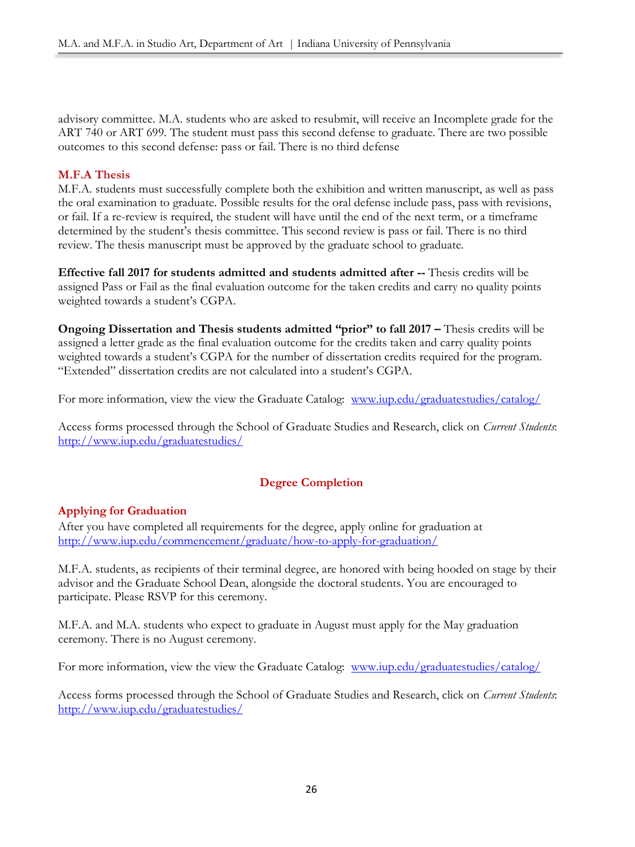advisory committee. M.A. students who are asked to resubmit, will receive an Incomplete grade for the ART 740 or ART 699. The student must pass this second defense to graduate. There are two possible outcomes to this second defense: pass or fail. There is no third defense

# **M.F.A Thesis**

M.F.A. students must successfully complete both the exhibition and written manuscript, as well as pass the oral examination to graduate. Possible results for the oral defense include pass, pass with revisions, or fail. If a re-review is required, the student will have until the end of the next term, or a timeframe determined by the student's thesis committee. This second review is pass or fail. There is no third review. The thesis manuscript must be approved by the graduate school to graduate.

**Effective fall 2017 for students admitted and students admitted after --** Thesis credits will be assigned Pass or Fail as the final evaluation outcome for the taken credits and carry no quality points weighted towards a student's CGPA.

**Ongoing Dissertation and Thesis students admitted "prior" to fall 2017 –** Thesis credits will be assigned a letter grade as the final evaluation outcome for the credits taken and carry quality points weighted towards a student's CGPA for the number of dissertation credits required for the program. "Extended" dissertation credits are not calculated into a student's CGPA.

For more information, view the view the Graduate Catalog: [www.iup.edu/graduatestudies/catalog/](http://www.iup.edu/graduatestudies/catalog/)

Access forms processed through the School of Graduate Studies and Research, click on *Current Students*: <http://www.iup.edu/graduatestudies/>

# **Degree Completion**

# **Applying for Graduation**

After you have completed all requirements for the degree, apply online for graduation at <http://www.iup.edu/commencement/graduate/how-to-apply-for-graduation/>

M.F.A. students, as recipients of their terminal degree, are honored with being hooded on stage by their advisor and the Graduate School Dean, alongside the doctoral students. You are encouraged to participate. Please RSVP for this ceremony.

M.F.A. and M.A. students who expect to graduate in August must apply for the May graduation ceremony. There is no August ceremony.

For more information, view the view the Graduate Catalog: [www.iup.edu/graduatestudies/catalog/](http://www.iup.edu/graduatestudies/catalog/)

Access forms processed through the School of Graduate Studies and Research, click on *Current Students*: <http://www.iup.edu/graduatestudies/>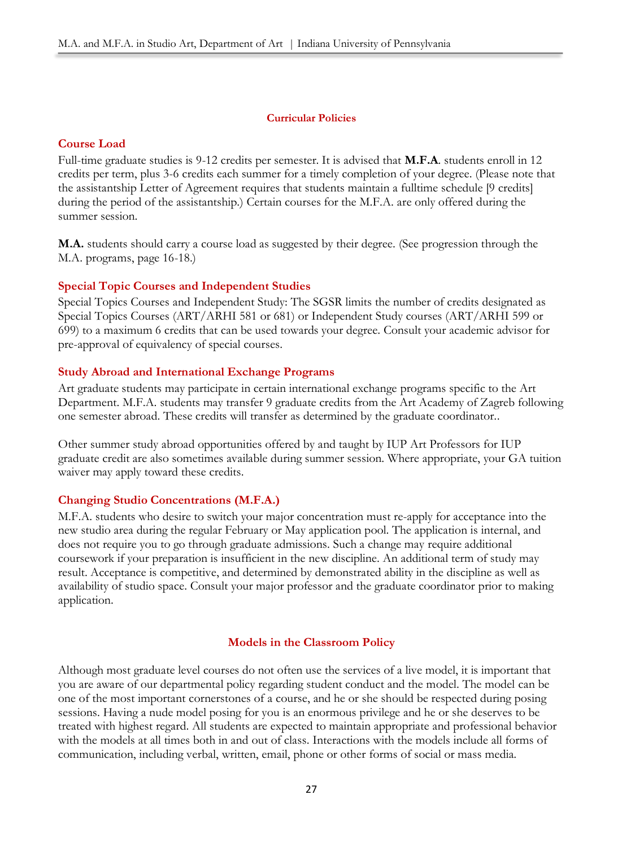### **Curricular Policies**

# **Course Load**

Full-time graduate studies is 9-12 credits per semester. It is advised that **M.F.A**. students enroll in 12 credits per term, plus 3-6 credits each summer for a timely completion of your degree. (Please note that the assistantship Letter of Agreement requires that students maintain a fulltime schedule [9 credits] during the period of the assistantship.) Certain courses for the M.F.A. are only offered during the summer session.

**M.A.** students should carry a course load as suggested by their degree. (See progression through the M.A. programs, page 16-18.)

# **Special Topic Courses and Independent Studies**

Special Topics Courses and Independent Study: The SGSR limits the number of credits designated as Special Topics Courses (ART/ARHI 581 or 681) or Independent Study courses (ART/ARHI 599 or 699) to a maximum 6 credits that can be used towards your degree. Consult your academic advisor for pre-approval of equivalency of special courses.

#### **Study Abroad and International Exchange Programs**

Art graduate students may participate in certain international exchange programs specific to the Art Department. M.F.A. students may transfer 9 graduate credits from the Art Academy of Zagreb following one semester abroad. These credits will transfer as determined by the graduate coordinator..

Other summer study abroad opportunities offered by and taught by IUP Art Professors for IUP graduate credit are also sometimes available during summer session. Where appropriate, your GA tuition waiver may apply toward these credits.

# **Changing Studio Concentrations (M.F.A.)**

M.F.A. students who desire to switch your major concentration must re-apply for acceptance into the new studio area during the regular February or May application pool. The application is internal, and does not require you to go through graduate admissions. Such a change may require additional coursework if your preparation is insufficient in the new discipline. An additional term of study may result. Acceptance is competitive, and determined by demonstrated ability in the discipline as well as availability of studio space. Consult your major professor and the graduate coordinator prior to making application.

#### **Models in the Classroom Policy**

Although most graduate level courses do not often use the services of a live model, it is important that you are aware of our departmental policy regarding student conduct and the model. The model can be one of the most important cornerstones of a course, and he or she should be respected during posing sessions. Having a nude model posing for you is an enormous privilege and he or she deserves to be treated with highest regard. All students are expected to maintain appropriate and professional behavior with the models at all times both in and out of class. Interactions with the models include all forms of communication, including verbal, written, email, phone or other forms of social or mass media.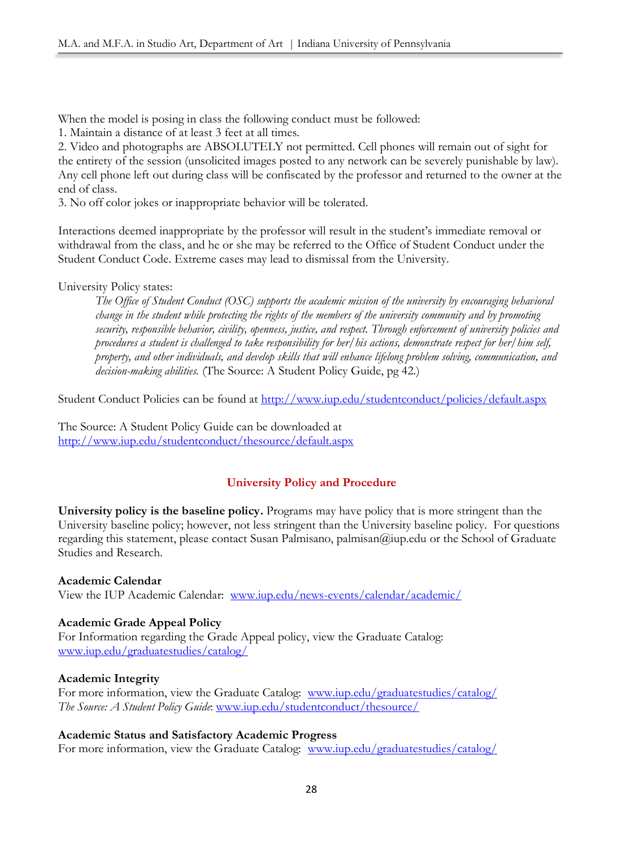When the model is posing in class the following conduct must be followed:

1. Maintain a distance of at least 3 feet at all times.

2. Video and photographs are ABSOLUTELY not permitted. Cell phones will remain out of sight for the entirety of the session (unsolicited images posted to any network can be severely punishable by law). Any cell phone left out during class will be confiscated by the professor and returned to the owner at the end of class.

3. No off color jokes or inappropriate behavior will be tolerated.

Interactions deemed inappropriate by the professor will result in the student's immediate removal or withdrawal from the class, and he or she may be referred to the Office of Student Conduct under the Student Conduct Code. Extreme cases may lead to dismissal from the University.

# University Policy states:

*The Office of Student Conduct (OSC) supports the academic mission of the university by encouraging behavioral change in the student while protecting the rights of the members of the university community and by promoting security, responsible behavior, civility, openness, justice, and respect. Through enforcement of university policies and procedures a student is challenged to take responsibility for her/his actions, demonstrate respect for her/him self, property, and other individuals, and develop skills that will enhance lifelong problem solving, communication, and decision-making abilities.* (The Source: A Student Policy Guide, pg 42.)

Student Conduct Policies can be found at<http://www.iup.edu/studentconduct/policies/default.aspx>

The Source: A Student Policy Guide can be downloaded at <http://www.iup.edu/studentconduct/thesource/default.aspx>

# **University Policy and Procedure**

**University policy is the baseline policy.** Programs may have policy that is more stringent than the University baseline policy; however, not less stringent than the University baseline policy. For questions regarding this statement, please contact Susan Palmisano, palmisan@iup.edu or the School of Graduate Studies and Research.

**Academic Calendar** View the IUP Academic Calendar: [www.iup.edu/news-events/calendar/academic/](http://www.iup.edu/news-events/calendar/academic/)

# **Academic Grade Appeal Policy**

For Information regarding the Grade Appeal policy, view the Graduate Catalog: [www.iup.edu/graduatestudies/catalog/](http://www.iup.edu/graduatestudies/catalog/)

# **Academic Integrity**

For more information, view the Graduate Catalog: [www.iup.edu/graduatestudies/catalog/](http://www.iup.edu/graduatestudies/catalog/) *The Source: A Student Policy Guide*: [www.iup.edu/studentconduct/thesource/](http://www.iup.edu/studentconduct/thesource/)

# **Academic Status and Satisfactory Academic Progress**

For more information, view the Graduate Catalog: [www.iup.edu/graduatestudies/catalog/](http://www.iup.edu/graduatestudies/catalog/)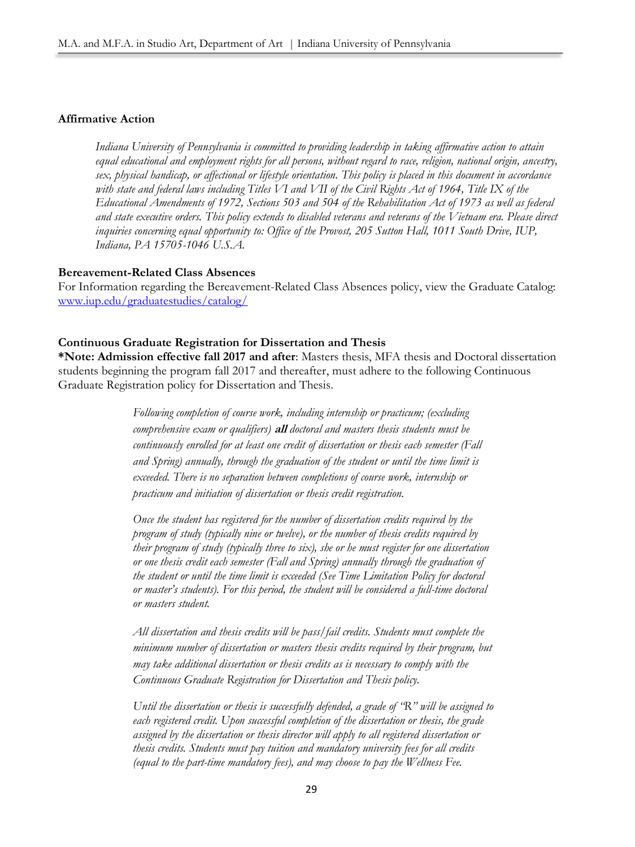#### **Affirmative Action**

*Indiana University of Pennsylvania is committed to providing leadership in taking affirmative action to attain equal educational and employment rights for all persons, without regard to race, religion, national origin, ancestry, sex, physical handicap, or affectional or lifestyle orientation. This policy is placed in this document in accordance with state and federal laws including Titles VI and VII of the Civil Rights Act of 1964, Title IX of the Educational Amendments of 1972, Sections 503 and 504 of the Rehabilitation Act of 1973 as well as federal and state executive orders. This policy extends to disabled veterans and veterans of the Vietnam era. Please direct inquiries concerning equal opportunity to: Office of the Provost, 205 Sutton Hall, 1011 South Drive, IUP, Indiana, PA 15705-1046 U.S.A.*

#### **Bereavement-Related Class Absences**

For Information regarding the Bereavement-Related Class Absences policy, view the Graduate Catalog: [www.iup.edu/graduatestudies/catalog/](http://www.iup.edu/graduatestudies/catalog/)

#### **Continuous Graduate Registration for Dissertation and Thesis**

**\*Note: Admission effective fall 2017 and after**: Masters thesis, MFA thesis and Doctoral dissertation students beginning the program fall 2017 and thereafter, must adhere to the following Continuous Graduate Registration policy for Dissertation and Thesis.

> *Following completion of course work, including internship or practicum; (excluding comprehensive exam or qualifiers)* **all** *doctoral and masters thesis students must be continuously enrolled for at least one credit of dissertation or thesis each semester (Fall and Spring) annually, through the graduation of the student or until the time limit is exceeded. There is no separation between completions of course work, internship or practicum and initiation of dissertation or thesis credit registration.*

*Once the student has registered for the number of dissertation credits required by the program of study (typically nine or twelve), or the number of thesis credits required by their program of study (typically three to six), she or he must register for one dissertation or one thesis credit each semester (Fall and Spring) annually through the graduation of the student or until the time limit is exceeded (See Time Limitation Policy for doctoral or master's students). For this period, the student will be considered a full-time doctoral or masters student.*

*All dissertation and thesis credits will be pass/fail credits. Students must complete the minimum number of dissertation or masters thesis credits required by their program, but may take additional dissertation or thesis credits as is necessary to comply with the Continuous Graduate Registration for Dissertation and Thesis policy.*

*Until the dissertation or thesis is successfully defended, a grade of "R" will be assigned to each registered credit. Upon successful completion of the dissertation or thesis, the grade assigned by the dissertation or thesis director will apply to all registered dissertation or thesis credits. Students must pay tuition and mandatory university fees for all credits (equal to the part-time mandatory fees), and may choose to pay the Wellness Fee.*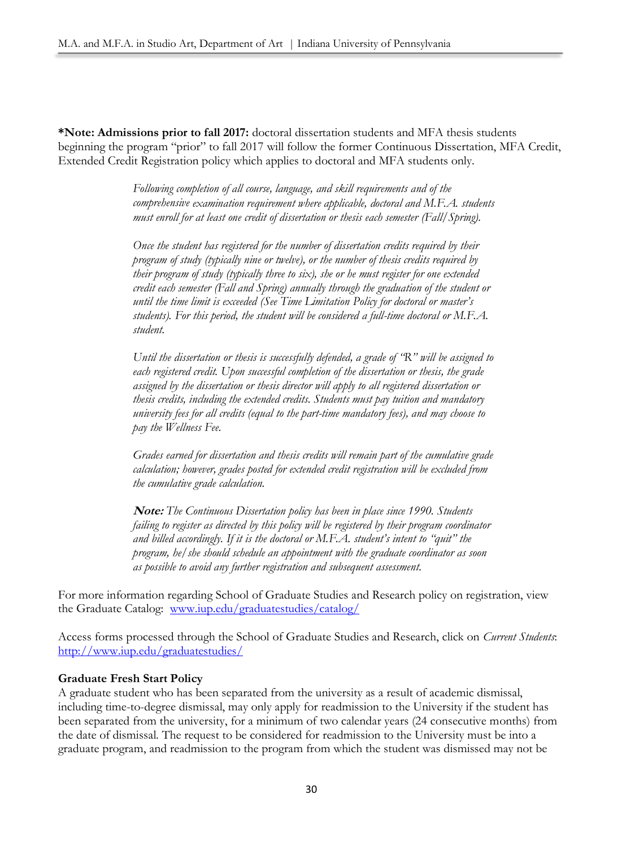**\*Note: Admissions prior to fall 2017:** doctoral dissertation students and MFA thesis students beginning the program "prior" to fall 2017 will follow the former Continuous Dissertation, MFA Credit, Extended Credit Registration policy which applies to doctoral and MFA students only.

> *Following completion of all course, language, and skill requirements and of the comprehensive examination requirement where applicable, doctoral and M.F.A. students must enroll for at least one credit of dissertation or thesis each semester (Fall/Spring).*

> *Once the student has registered for the number of dissertation credits required by their program of study (typically nine or twelve), or the number of thesis credits required by their program of study (typically three to six), she or he must register for one extended credit each semester (Fall and Spring) annually through the graduation of the student or until the time limit is exceeded (See Time Limitation Policy for doctoral or master's students). For this period, the student will be considered a full-time doctoral or M.F.A. student.*

> *Until the dissertation or thesis is successfully defended, a grade of "R" will be assigned to each registered credit. Upon successful completion of the dissertation or thesis, the grade assigned by the dissertation or thesis director will apply to all registered dissertation or thesis credits, including the extended credits. Students must pay tuition and mandatory university fees for all credits (equal to the part-time mandatory fees), and may choose to pay the Wellness Fee.*

> *Grades earned for dissertation and thesis credits will remain part of the cumulative grade calculation; however, grades posted for extended credit registration will be excluded from the cumulative grade calculation.*

> **Note:** *The Continuous Dissertation policy has been in place since 1990. Students failing to register as directed by this policy will be registered by their program coordinator and billed accordingly. If it is the doctoral or M.F.A. student's intent to "quit" the program, he/she should schedule an appointment with the graduate coordinator as soon as possible to avoid any further registration and subsequent assessment.*

For more information regarding School of Graduate Studies and Research policy on registration, view the Graduate Catalog: [www.iup.edu/graduatestudies/catalog/](http://www.iup.edu/graduatestudies/catalog/)

Access forms processed through the School of Graduate Studies and Research, click on *Current Students*: <http://www.iup.edu/graduatestudies/>

# **Graduate Fresh Start Policy**

A graduate student who has been separated from the university as a result of academic dismissal, including time-to-degree dismissal, may only apply for readmission to the University if the student has been separated from the university, for a minimum of two calendar years (24 consecutive months) from the date of dismissal. The request to be considered for readmission to the University must be into a graduate program, and readmission to the program from which the student was dismissed may not be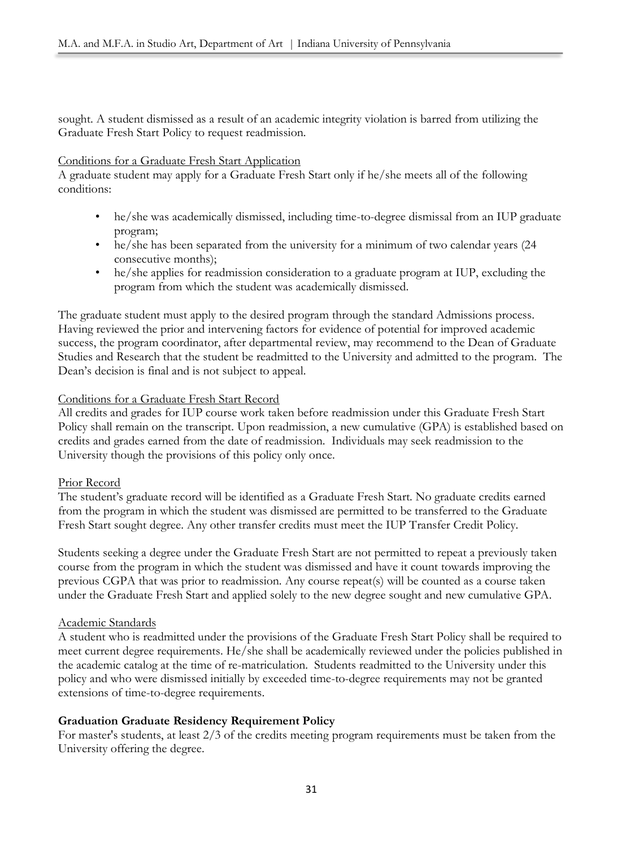sought. A student dismissed as a result of an academic integrity violation is barred from utilizing the Graduate Fresh Start Policy to request readmission.

# Conditions for a Graduate Fresh Start Application

A graduate student may apply for a Graduate Fresh Start only if he/she meets all of the following conditions:

- he/she was academically dismissed, including time-to-degree dismissal from an IUP graduate program;
- he/she has been separated from the university for a minimum of two calendar years (24 consecutive months);
- he/she applies for readmission consideration to a graduate program at IUP, excluding the program from which the student was academically dismissed.

The graduate student must apply to the desired program through the standard Admissions process. Having reviewed the prior and intervening factors for evidence of potential for improved academic success, the program coordinator, after departmental review, may recommend to the Dean of Graduate Studies and Research that the student be readmitted to the University and admitted to the program. The Dean's decision is final and is not subject to appeal.

# Conditions for a Graduate Fresh Start Record

All credits and grades for IUP course work taken before readmission under this Graduate Fresh Start Policy shall remain on the transcript. Upon readmission, a new cumulative (GPA) is established based on credits and grades earned from the date of readmission. Individuals may seek readmission to the University though the provisions of this policy only once.

# Prior Record

The student's graduate record will be identified as a Graduate Fresh Start. No graduate credits earned from the program in which the student was dismissed are permitted to be transferred to the Graduate Fresh Start sought degree. Any other transfer credits must meet the IUP Transfer Credit Policy.

Students seeking a degree under the Graduate Fresh Start are not permitted to repeat a previously taken course from the program in which the student was dismissed and have it count towards improving the previous CGPA that was prior to readmission. Any course repeat(s) will be counted as a course taken under the Graduate Fresh Start and applied solely to the new degree sought and new cumulative GPA.

# Academic Standards

A student who is readmitted under the provisions of the Graduate Fresh Start Policy shall be required to meet current degree requirements. He/she shall be academically reviewed under the policies published in the academic catalog at the time of re-matriculation. Students readmitted to the University under this policy and who were dismissed initially by exceeded time-to-degree requirements may not be granted extensions of time-to-degree requirements.

# **Graduation Graduate Residency Requirement Policy**

For master's students, at least 2/3 of the credits meeting program requirements must be taken from the University offering the degree.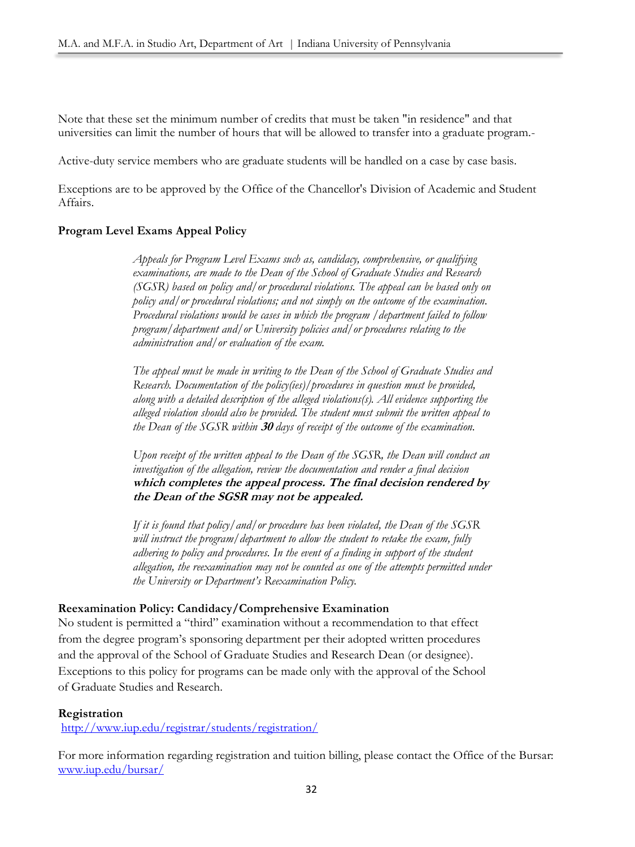Note that these set the minimum number of credits that must be taken "in residence" and that universities can limit the number of hours that will be allowed to transfer into a graduate program.-

Active-duty service members who are graduate students will be handled on a case by case basis.

Exceptions are to be approved by the Office of the Chancellor's Division of Academic and Student Affairs.

# **Program Level Exams Appeal Policy**

*Appeals for Program Level Exams such as, candidacy, comprehensive, or qualifying examinations, are made to the Dean of the School of Graduate Studies and Research (SGSR) based on policy and/or procedural violations. The appeal can be based only on policy and/or procedural violations; and not simply on the outcome of the examination. Procedural violations would be cases in which the program /department failed to follow program/department and/or University policies and/or procedures relating to the administration and/or evaluation of the exam.*

*The appeal must be made in writing to the Dean of the School of Graduate Studies and Research. Documentation of the policy(ies)/procedures in question must be provided, along with a detailed description of the alleged violations(s). All evidence supporting the alleged violation should also be provided. The student must submit the written appeal to the Dean of the SGSR within* **30** *days of receipt of the outcome of the examination.*

*Upon receipt of the written appeal to the Dean of the SGSR, the Dean will conduct an investigation of the allegation, review the documentation and render a final decision*  **which completes the appeal process. The final decision rendered by the Dean of the SGSR may not be appealed.**

*If it is found that policy/and/or procedure has been violated, the Dean of the SGSR will instruct the program/department to allow the student to retake the exam, fully adhering to policy and procedures. In the event of a finding in support of the student allegation, the reexamination may not be counted as one of the attempts permitted under the University or Department's Reexamination Policy.*

# **Reexamination Policy: Candidacy/Comprehensive Examination**

No student is permitted a "third" examination without a recommendation to that effect from the degree program's sponsoring department per their adopted written procedures and the approval of the School of Graduate Studies and Research Dean (or designee). Exceptions to this policy for programs can be made only with the approval of the School of Graduate Studies and Research.

# **Registration**

<http://www.iup.edu/registrar/students/registration/>

For more information regarding registration and tuition billing, please contact the Office of the Bursar: [www.iup.edu/bursar/](http://www.iup.edu/bursar/)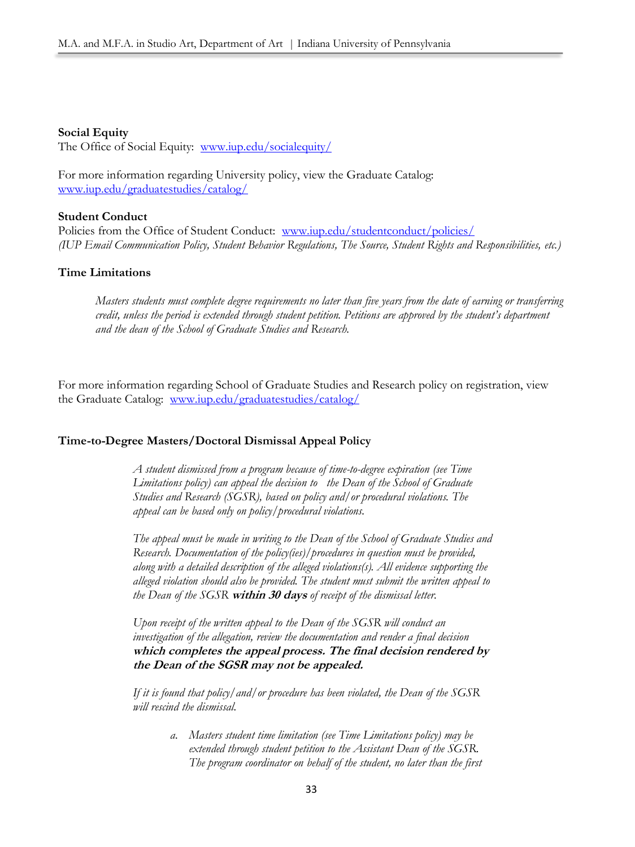### **Social Equity**

The Office of Social Equity: www.jup.edu/socialequity/

For more information regarding University policy, view the Graduate Catalog: [www.iup.edu/graduatestudies/catalog/](http://www.iup.edu/graduatestudies/catalog/)

#### **Student Conduct**

Policies from the Office of Student Conduct: [www.iup.edu/studentconduct/policies/](http://www.iup.edu/studentconduct/policies/) *(IUP Email Communication Policy, Student Behavior Regulations, The Source, Student Rights and Responsibilities, etc.)*

# **Time Limitations**

*Masters students must complete degree requirements no later than five years from the date of earning or transferring credit, unless the period is extended through student petition. Petitions are approved by the student's department and the dean of the School of Graduate Studies and Research.* 

For more information regarding School of Graduate Studies and Research policy on registration, view the Graduate Catalog: [www.iup.edu/graduatestudies/catalog/](http://www.iup.edu/graduatestudies/catalog/)

#### **Time-to-Degree Masters/Doctoral Dismissal Appeal Policy**

*A student dismissed from a program because of time-to-degree expiration (see Time Limitations policy) can appeal the decision to the Dean of the School of Graduate Studies and Research (SGSR), based on policy and/or procedural violations. The appeal can be based only on policy/procedural violations.* 

*The appeal must be made in writing to the Dean of the School of Graduate Studies and Research. Documentation of the policy(ies)/procedures in question must be provided, along with a detailed description of the alleged violations(s). All evidence supporting the alleged violation should also be provided. The student must submit the written appeal to the Dean of the SGSR* **within 30 days** *of receipt of the dismissal letter.* 

*Upon receipt of the written appeal to the Dean of the SGSR will conduct an investigation of the allegation, review the documentation and render a final decision* **which completes the appeal process. The final decision rendered by the Dean of the SGSR may not be appealed.**

*If it is found that policy/and/or procedure has been violated, the Dean of the SGSR will rescind the dismissal.* 

> *a. Masters student time limitation (see Time Limitations policy) may be extended through student petition to the Assistant Dean of the SGSR. The program coordinator on behalf of the student, no later than the first*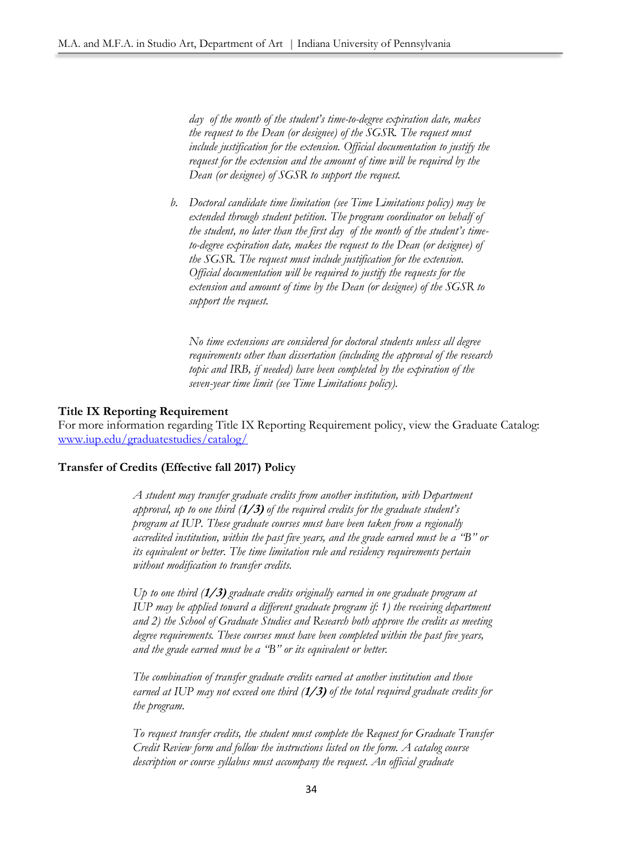*day of the month of the student's time-to-degree expiration date, makes the request to the Dean (or designee) of the SGSR. The request must include justification for the extension. Official documentation to justify the request for the extension and the amount of time will be required by the Dean (or designee) of SGSR to support the request.*

*b. Doctoral candidate time limitation (see Time Limitations policy) may be extended through student petition. The program coordinator on behalf of the student, no later than the first day of the month of the student's timeto-degree expiration date, makes the request to the Dean (or designee) of the SGSR. The request must include justification for the extension. Official documentation will be required to justify the requests for the extension and amount of time by the Dean (or designee) of the SGSR to support the request.* 

*No time extensions are considered for doctoral students unless all degree requirements other than dissertation (including the approval of the research topic and IRB, if needed) have been completed by the expiration of the seven-year time limit (see Time Limitations policy).*

# **Title IX Reporting Requirement**

For more information regarding Title IX Reporting Requirement policy, view the Graduate Catalog: [www.iup.edu/graduatestudies/catalog/](http://www.iup.edu/graduatestudies/catalog/)

# **Transfer of Credits (Effective fall 2017) Policy**

*A student may transfer graduate credits from another institution, with Department approval, up to one third (***1/3)** *of the required credits for the graduate student's program at IUP. These graduate courses must have been taken from a regionally accredited institution, within the past five years, and the grade earned must be a "B" or its equivalent or better. The time limitation rule and residency requirements pertain without modification to transfer credits.*

*Up to one third (***1/3)** *graduate credits originally earned in one graduate program at IUP may be applied toward a different graduate program if: 1) the receiving department and 2) the School of Graduate Studies and Research both approve the credits as meeting degree requirements. These courses must have been completed within the past five years, and the grade earned must be a "B" or its equivalent or better.*

*The combination of transfer graduate credits earned at another institution and those earned at IUP may not exceed one third (***1/3)** *of the total required graduate credits for the program.* 

*To request transfer credits, the student must complete the Request for Graduate Transfer Credit Review form and follow the instructions listed on the form. A catalog course description or course syllabus must accompany the request. An official graduate*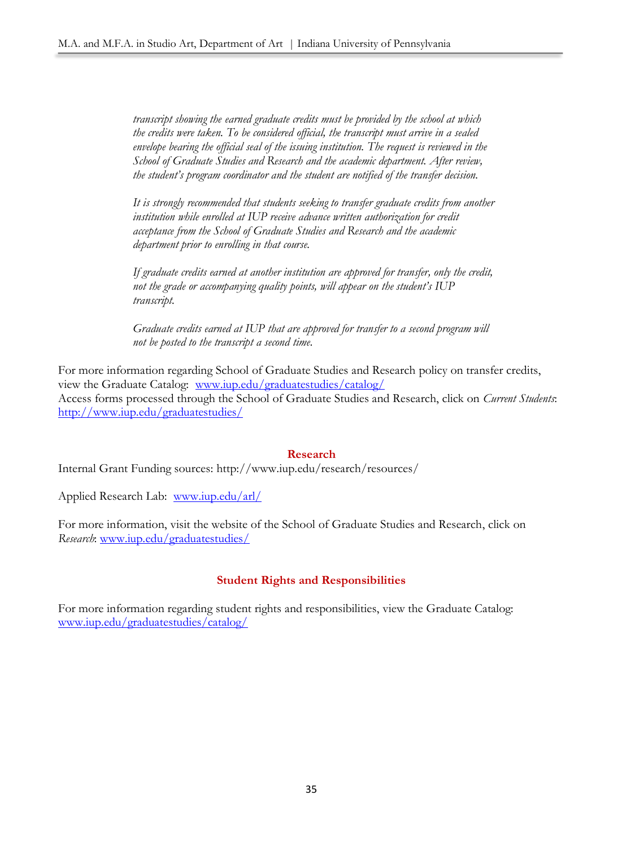*transcript showing the earned graduate credits must be provided by the school at which the credits were taken. To be considered official, the transcript must arrive in a sealed envelope bearing the official seal of the issuing institution. The request is reviewed in the School of Graduate Studies and Research and the academic department. After review, the student's program coordinator and the student are notified of the transfer decision.* 

*It is strongly recommended that students seeking to transfer graduate credits from another institution while enrolled at IUP receive advance written authorization for credit acceptance from the School of Graduate Studies and Research and the academic department prior to enrolling in that course.*

*If graduate credits earned at another institution are approved for transfer, only the credit, not the grade or accompanying quality points, will appear on the student's IUP transcript.*

*Graduate credits earned at IUP that are approved for transfer to a second program will not be posted to the transcript a second time*.

For more information regarding School of Graduate Studies and Research policy on transfer credits, view the Graduate Catalog: [www.iup.edu/graduatestudies/catalog/](http://www.iup.edu/graduatestudies/catalog/) Access forms processed through the School of Graduate Studies and Research, click on *Current Students*: <http://www.iup.edu/graduatestudies/>

#### **Research**

Internal Grant Funding sources: http://www.iup.edu/research/resources/

Applied Research Lab: www.jup.edu/arl/

For more information, visit the website of the School of Graduate Studies and Research, click on *Research*: [www.iup.edu/graduatestudies/](http://www.iup.edu/graduatestudies/)

# **Student Rights and Responsibilities**

For more information regarding student rights and responsibilities, view the Graduate Catalog: [www.iup.edu/graduatestudies/catalog/](http://www.iup.edu/graduatestudies/catalog/)